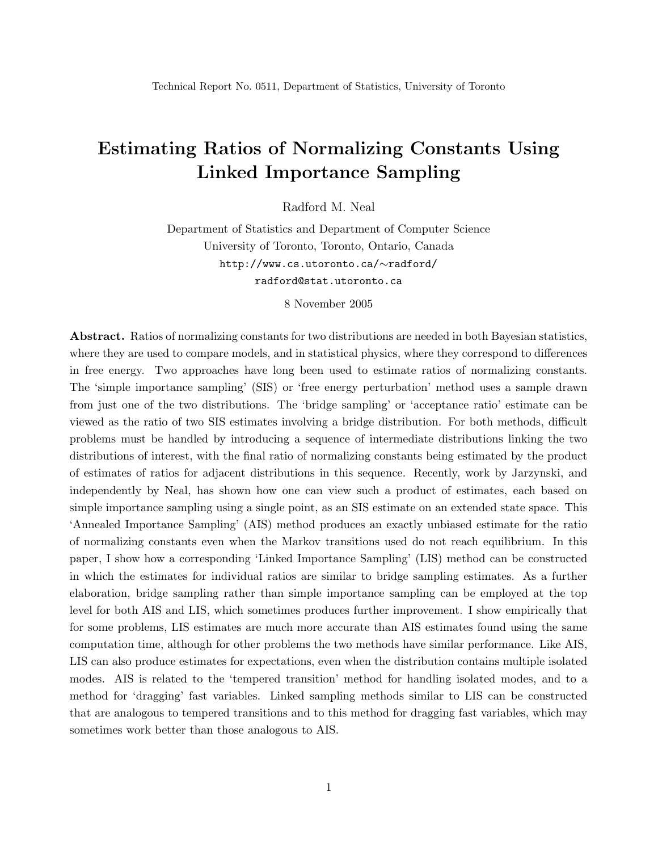# Estimating Ratios of Normalizing Constants Using Linked Importance Sampling

Radford M. Neal

Department of Statistics and Department of Computer Science University of Toronto, Toronto, Ontario, Canada http://www.cs.utoronto.ca/∼radford/ radford@stat.utoronto.ca

8 November 2005

Abstract. Ratios of normalizing constants for two distributions are needed in both Bayesian statistics, where they are used to compare models, and in statistical physics, where they correspond to differences in free energy. Two approaches have long been used to estimate ratios of normalizing constants. The 'simple importance sampling' (SIS) or 'free energy perturbation' method uses a sample drawn from just one of the two distributions. The 'bridge sampling' or 'acceptance ratio' estimate can be viewed as the ratio of two SIS estimates involving a bridge distribution. For both methods, difficult problems must be handled by introducing a sequence of intermediate distributions linking the two distributions of interest, with the final ratio of normalizing constants being estimated by the product of estimates of ratios for adjacent distributions in this sequence. Recently, work by Jarzynski, and independently by Neal, has shown how one can view such a product of estimates, each based on simple importance sampling using a single point, as an SIS estimate on an extended state space. This 'Annealed Importance Sampling' (AIS) method produces an exactly unbiased estimate for the ratio of normalizing constants even when the Markov transitions used do not reach equilibrium. In this paper, I show how a corresponding 'Linked Importance Sampling' (LIS) method can be constructed in which the estimates for individual ratios are similar to bridge sampling estimates. As a further elaboration, bridge sampling rather than simple importance sampling can be employed at the top level for both AIS and LIS, which sometimes produces further improvement. I show empirically that for some problems, LIS estimates are much more accurate than AIS estimates found using the same computation time, although for other problems the two methods have similar performance. Like AIS, LIS can also produce estimates for expectations, even when the distribution contains multiple isolated modes. AIS is related to the 'tempered transition' method for handling isolated modes, and to a method for 'dragging' fast variables. Linked sampling methods similar to LIS can be constructed that are analogous to tempered transitions and to this method for dragging fast variables, which may sometimes work better than those analogous to AIS.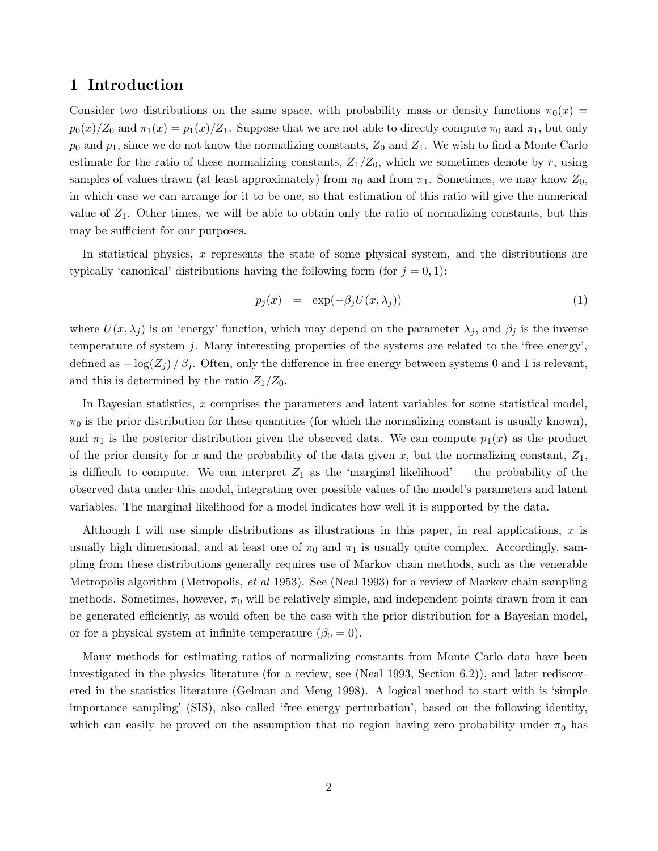### 1 Introduction

Consider two distributions on the same space, with probability mass or density functions  $\pi_0(x)$  =  $p_0(x)/Z_0$  and  $\pi_1(x) = p_1(x)/Z_1$ . Suppose that we are not able to directly compute  $\pi_0$  and  $\pi_1$ , but only  $p_0$  and  $p_1$ , since we do not know the normalizing constants,  $Z_0$  and  $Z_1$ . We wish to find a Monte Carlo estimate for the ratio of these normalizing constants,  $Z_1/Z_0$ , which we sometimes denote by r, using samples of values drawn (at least approximately) from  $\pi_0$  and from  $\pi_1$ . Sometimes, we may know  $Z_0$ , in which case we can arrange for it to be one, so that estimation of this ratio will give the numerical value of  $Z_1$ . Other times, we will be able to obtain only the ratio of normalizing constants, but this may be sufficient for our purposes.

In statistical physics, x represents the state of some physical system, and the distributions are typically 'canonical' distributions having the following form (for  $j = 0, 1$ ):

$$
p_j(x) = \exp(-\beta_j U(x, \lambda_j)) \tag{1}
$$

where  $U(x, \lambda_j)$  is an 'energy' function, which may depend on the parameter  $\lambda_j$ , and  $\beta_j$  is the inverse temperature of system  $j$ . Many interesting properties of the systems are related to the 'free energy', defined as  $-\log(Z_i)/\beta_i$ . Often, only the difference in free energy between systems 0 and 1 is relevant, and this is determined by the ratio  $Z_1/Z_0$ .

In Bayesian statistics, x comprises the parameters and latent variables for some statistical model,  $\pi_0$  is the prior distribution for these quantities (for which the normalizing constant is usually known), and  $\pi_1$  is the posterior distribution given the observed data. We can compute  $p_1(x)$  as the product of the prior density for x and the probability of the data given x, but the normalizing constant,  $Z_1$ , is difficult to compute. We can interpret  $Z_1$  as the 'marginal likelihood' — the probability of the observed data under this model, integrating over possible values of the model's parameters and latent variables. The marginal likelihood for a model indicates how well it is supported by the data.

Although I will use simple distributions as illustrations in this paper, in real applications,  $x$  is usually high dimensional, and at least one of  $\pi_0$  and  $\pi_1$  is usually quite complex. Accordingly, sampling from these distributions generally requires use of Markov chain methods, such as the venerable Metropolis algorithm (Metropolis, *et al* 1953). See (Neal 1993) for a review of Markov chain sampling methods. Sometimes, however,  $\pi_0$  will be relatively simple, and independent points drawn from it can be generated efficiently, as would often be the case with the prior distribution for a Bayesian model, or for a physical system at infinite temperature  $(\beta_0 = 0)$ .

Many methods for estimating ratios of normalizing constants from Monte Carlo data have been investigated in the physics literature (for a review, see (Neal 1993, Section 6.2)), and later rediscovered in the statistics literature (Gelman and Meng 1998). A logical method to start with is 'simple importance sampling' (SIS), also called 'free energy perturbation', based on the following identity, which can easily be proved on the assumption that no region having zero probability under  $\pi_0$  has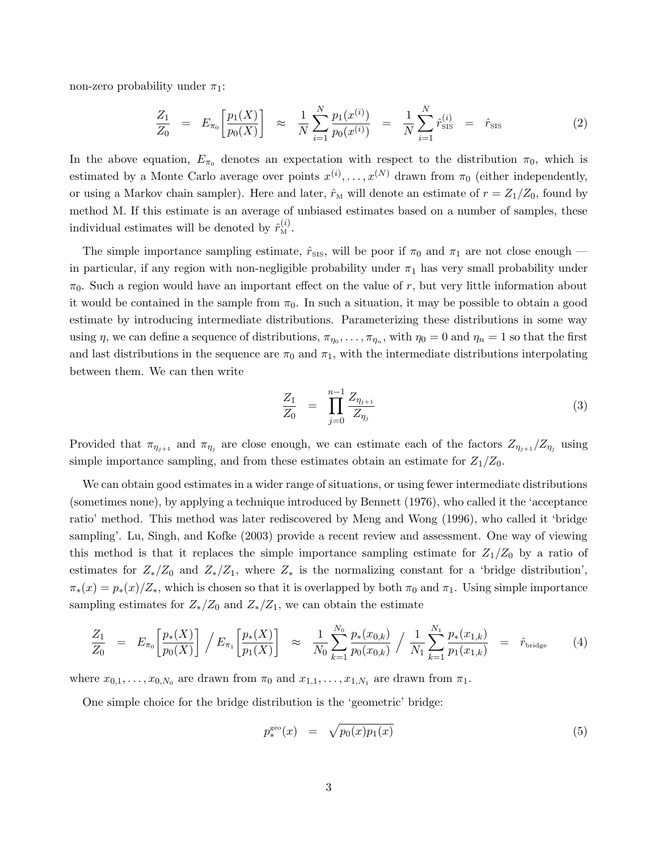non-zero probability under  $\pi_1$ :

$$
\frac{Z_1}{Z_0} = E_{\pi_0} \left[ \frac{p_1(X)}{p_0(X)} \right] \approx \frac{1}{N} \sum_{i=1}^N \frac{p_1(x^{(i)})}{p_0(x^{(i)})} = \frac{1}{N} \sum_{i=1}^N \hat{r}_{\text{SIS}}^{(i)} = \hat{r}_{\text{SIS}} \tag{2}
$$

In the above equation,  $E_{\pi_0}$  denotes an expectation with respect to the distribution  $\pi_0$ , which is estimated by a Monte Carlo average over points  $x^{(i)}, \ldots, x^{(N)}$  drawn from  $\pi_0$  (either independently, or using a Markov chain sampler). Here and later,  $\hat{r}_{\text{M}}$  will denote an estimate of  $r = Z_1/Z_0$ , found by method M. If this estimate is an average of unbiased estimates based on a number of samples, these individual estimates will be denoted by  $\hat{r}_{\text{M}}^{(i)}$ .

The simple importance sampling estimate,  $\hat{r}_{\text{SIS}}$ , will be poor if  $\pi_0$  and  $\pi_1$  are not close enough in particular, if any region with non-negligible probability under  $\pi_1$  has very small probability under  $\pi_0$ . Such a region would have an important effect on the value of r, but very little information about it would be contained in the sample from  $\pi_0$ . In such a situation, it may be possible to obtain a good estimate by introducing intermediate distributions. Parameterizing these distributions in some way using  $\eta$ , we can define a sequence of distributions,  $\pi_{\eta_0}, \ldots, \pi_{\eta_n}$ , with  $\eta_0 = 0$  and  $\eta_n = 1$  so that the first and last distributions in the sequence are  $\pi_0$  and  $\pi_1$ , with the intermediate distributions interpolating between them. We can then write

$$
\frac{Z_1}{Z_0} = \prod_{j=0}^{n-1} \frac{Z_{\eta_{j+1}}}{Z_{\eta_j}}
$$
\n(3)

Provided that  $\pi_{\eta_{j+1}}$  and  $\pi_{\eta_j}$  are close enough, we can estimate each of the factors  $Z_{\eta_{j+1}}/Z_{\eta_j}$  using simple importance sampling, and from these estimates obtain an estimate for  $Z_1/Z_0$ .

We can obtain good estimates in a wider range of situations, or using fewer intermediate distributions (sometimes none), by applying a technique introduced by Bennett (1976), who called it the 'acceptance ratio' method. This method was later rediscovered by Meng and Wong (1996), who called it 'bridge sampling'. Lu, Singh, and Kofke (2003) provide a recent review and assessment. One way of viewing this method is that it replaces the simple importance sampling estimate for  $Z_1/Z_0$  by a ratio of estimates for  $Z_*/Z_0$  and  $Z_*/Z_1$ , where  $Z_*$  is the normalizing constant for a 'bridge distribution',  $\pi_*(x) = p_*(x)/Z_*$ , which is chosen so that it is overlapped by both  $\pi_0$  and  $\pi_1$ . Using simple importance sampling estimates for  $Z_*/Z_0$  and  $Z_*/Z_1$ , we can obtain the estimate

$$
\frac{Z_1}{Z_0} = E_{\pi_0} \left[ \frac{p_*(X)}{p_0(X)} \right] / E_{\pi_1} \left[ \frac{p_*(X)}{p_1(X)} \right] \approx \frac{1}{N_0} \sum_{k=1}^{N_0} \frac{p_*(x_{0,k})}{p_0(x_{0,k})} / \frac{1}{N_1} \sum_{k=1}^{N_1} \frac{p_*(x_{1,k})}{p_1(x_{1,k})} = \hat{r}_{\text{bridge}} \tag{4}
$$

where  $x_{0,1}, \ldots, x_{0,N_0}$  are drawn from  $\pi_0$  and  $x_{1,1}, \ldots, x_{1,N_1}$  are drawn from  $\pi_1$ .

One simple choice for the bridge distribution is the 'geometric' bridge:

$$
p_*^{\rm geo}(x) = \sqrt{p_0(x)p_1(x)}
$$
\n(5)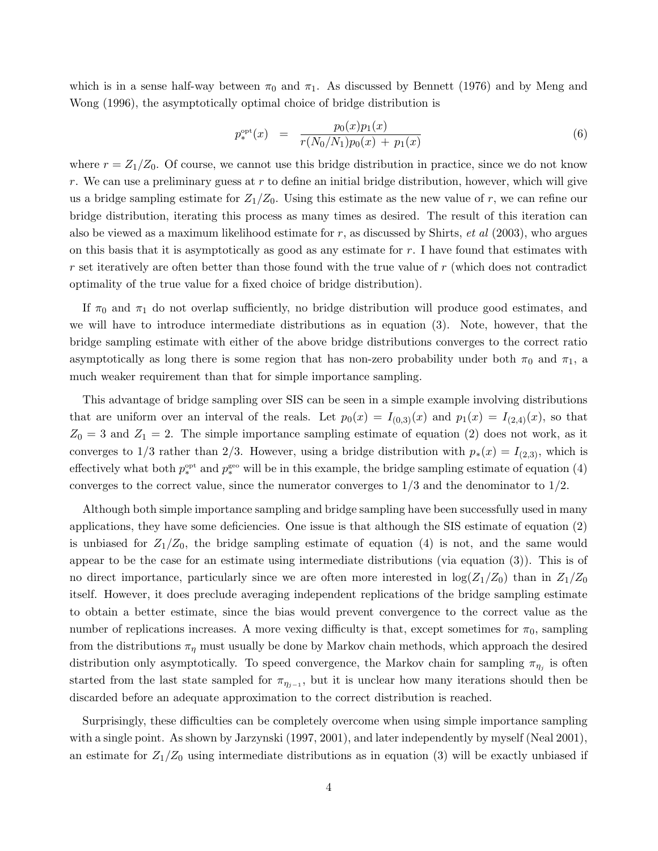which is in a sense half-way between  $\pi_0$  and  $\pi_1$ . As discussed by Bennett (1976) and by Meng and Wong (1996), the asymptotically optimal choice of bridge distribution is

$$
p_*^{\rm opt}(x) = \frac{p_0(x)p_1(x)}{r(N_0/N_1)p_0(x) + p_1(x)}
$$
(6)

where  $r = Z_1/Z_0$ . Of course, we cannot use this bridge distribution in practice, since we do not know r. We can use a preliminary guess at r to define an initial bridge distribution, however, which will give us a bridge sampling estimate for  $Z_1/Z_0$ . Using this estimate as the new value of r, we can refine our bridge distribution, iterating this process as many times as desired. The result of this iteration can also be viewed as a maximum likelihood estimate for  $r$ , as discussed by Shirts, *et al* (2003), who argues on this basis that it is asymptotically as good as any estimate for  $r$ . I have found that estimates with  $r$  set iteratively are often better than those found with the true value of  $r$  (which does not contradict optimality of the true value for a fixed choice of bridge distribution).

If  $\pi_0$  and  $\pi_1$  do not overlap sufficiently, no bridge distribution will produce good estimates, and we will have to introduce intermediate distributions as in equation (3). Note, however, that the bridge sampling estimate with either of the above bridge distributions converges to the correct ratio asymptotically as long there is some region that has non-zero probability under both  $\pi_0$  and  $\pi_1$ , a much weaker requirement than that for simple importance sampling.

This advantage of bridge sampling over SIS can be seen in a simple example involving distributions that are uniform over an interval of the reals. Let  $p_0(x) = I_{(0,3)}(x)$  and  $p_1(x) = I_{(2,4)}(x)$ , so that  $Z_0 = 3$  and  $Z_1 = 2$ . The simple importance sampling estimate of equation (2) does not work, as it converges to 1/3 rather than 2/3. However, using a bridge distribution with  $p_*(x) = I_{(2,3)}$ , which is effectively what both  $p_*^{\text{opt}}$  and  $p_*^{\text{geo}}$  will be in this example, the bridge sampling estimate of equation (4) converges to the correct value, since the numerator converges to  $1/3$  and the denominator to  $1/2$ .

Although both simple importance sampling and bridge sampling have been successfully used in many applications, they have some deficiencies. One issue is that although the SIS estimate of equation (2) is unbiased for  $Z_1/Z_0$ , the bridge sampling estimate of equation (4) is not, and the same would appear to be the case for an estimate using intermediate distributions (via equation (3)). This is of no direct importance, particularly since we are often more interested in  $\log(Z_1/Z_0)$  than in  $Z_1/Z_0$ itself. However, it does preclude averaging independent replications of the bridge sampling estimate to obtain a better estimate, since the bias would prevent convergence to the correct value as the number of replications increases. A more vexing difficulty is that, except sometimes for  $\pi_0$ , sampling from the distributions  $\pi_{\eta}$  must usually be done by Markov chain methods, which approach the desired distribution only asymptotically. To speed convergence, the Markov chain for sampling  $\pi_{\eta_j}$  is often started from the last state sampled for  $\pi_{\eta_{j-1}}$ , but it is unclear how many iterations should then be discarded before an adequate approximation to the correct distribution is reached.

Surprisingly, these difficulties can be completely overcome when using simple importance sampling with a single point. As shown by Jarzynski (1997, 2001), and later independently by myself (Neal 2001), an estimate for  $Z_1/Z_0$  using intermediate distributions as in equation (3) will be exactly unbiased if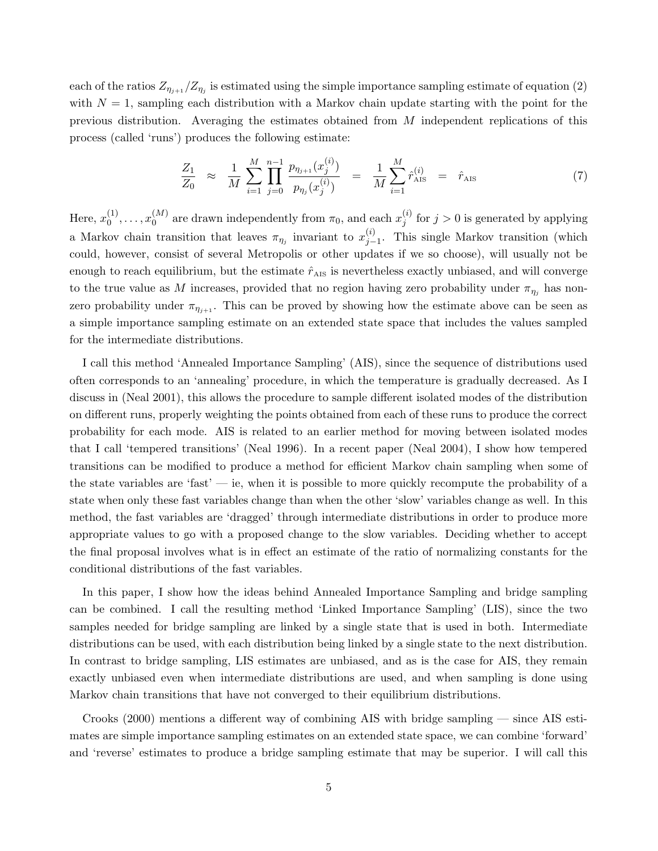each of the ratios  $Z_{\eta_{j+1}}/Z_{\eta_j}$  is estimated using the simple importance sampling estimate of equation (2) with  $N = 1$ , sampling each distribution with a Markov chain update starting with the point for the previous distribution. Averaging the estimates obtained from  $M$  independent replications of this process (called 'runs') produces the following estimate:

$$
\frac{Z_1}{Z_0} \approx \frac{1}{M} \sum_{i=1}^{M} \prod_{j=0}^{n-1} \frac{p_{\eta_{j+1}}(x_j^{(i)})}{p_{\eta_j}(x_j^{(i)})} = \frac{1}{M} \sum_{i=1}^{M} \hat{r}_{\text{AIS}}^{(i)} = \hat{r}_{\text{AIS}} \tag{7}
$$

Here,  $x_0^{(1)}$  $x_0^{(1)}, \ldots, x_0^{(M)}$  $\binom{M}{0}$  are drawn independently from  $\pi_0$ , and each  $x_j^{(i)}$  $j^{(i)}$  for  $j > 0$  is generated by applying a Markov chain transition that leaves  $\pi_{\eta_j}$  invariant to  $x_{j-1}^{(i)}$ . This single Markov transition (which could, however, consist of several Metropolis or other updates if we so choose), will usually not be enough to reach equilibrium, but the estimate  $\hat{r}_{\text{AIS}}$  is nevertheless exactly unbiased, and will converge to the true value as M increases, provided that no region having zero probability under  $\pi_{\eta_i}$  has nonzero probability under  $\pi_{\eta_{j+1}}$ . This can be proved by showing how the estimate above can be seen as a simple importance sampling estimate on an extended state space that includes the values sampled for the intermediate distributions.

I call this method 'Annealed Importance Sampling' (AIS), since the sequence of distributions used often corresponds to an 'annealing' procedure, in which the temperature is gradually decreased. As I discuss in (Neal 2001), this allows the procedure to sample different isolated modes of the distribution on different runs, properly weighting the points obtained from each of these runs to produce the correct probability for each mode. AIS is related to an earlier method for moving between isolated modes that I call 'tempered transitions' (Neal 1996). In a recent paper (Neal 2004), I show how tempered transitions can be modified to produce a method for efficient Markov chain sampling when some of the state variables are 'fast' — ie, when it is possible to more quickly recompute the probability of a state when only these fast variables change than when the other 'slow' variables change as well. In this method, the fast variables are 'dragged' through intermediate distributions in order to produce more appropriate values to go with a proposed change to the slow variables. Deciding whether to accept the final proposal involves what is in effect an estimate of the ratio of normalizing constants for the conditional distributions of the fast variables.

In this paper, I show how the ideas behind Annealed Importance Sampling and bridge sampling can be combined. I call the resulting method 'Linked Importance Sampling' (LIS), since the two samples needed for bridge sampling are linked by a single state that is used in both. Intermediate distributions can be used, with each distribution being linked by a single state to the next distribution. In contrast to bridge sampling, LIS estimates are unbiased, and as is the case for AIS, they remain exactly unbiased even when intermediate distributions are used, and when sampling is done using Markov chain transitions that have not converged to their equilibrium distributions.

Crooks (2000) mentions a different way of combining AIS with bridge sampling — since AIS estimates are simple importance sampling estimates on an extended state space, we can combine 'forward' and 'reverse' estimates to produce a bridge sampling estimate that may be superior. I will call this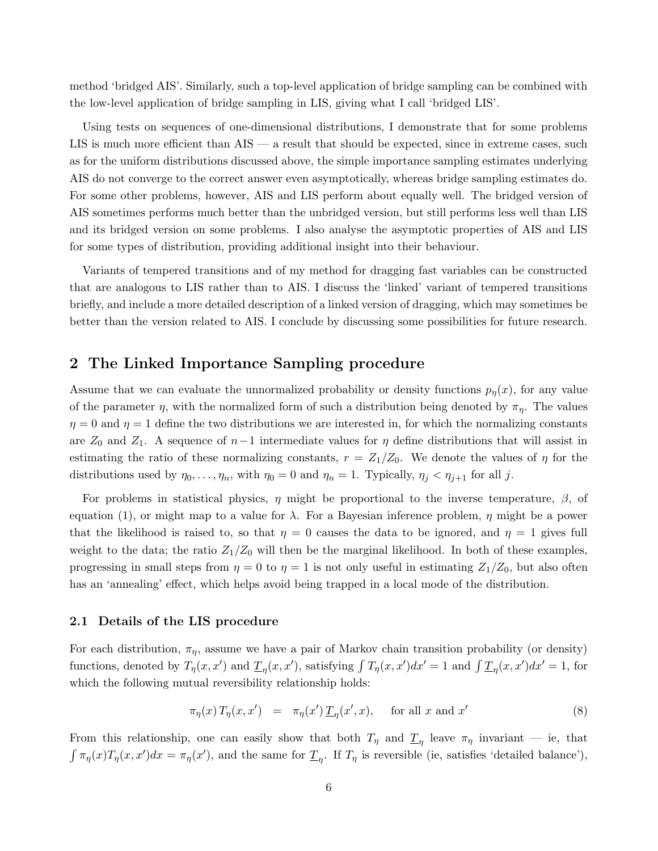method 'bridged AIS'. Similarly, such a top-level application of bridge sampling can be combined with the low-level application of bridge sampling in LIS, giving what I call 'bridged LIS'.

Using tests on sequences of one-dimensional distributions, I demonstrate that for some problems LIS is much more efficient than  $\overline{AIS}$  — a result that should be expected, since in extreme cases, such as for the uniform distributions discussed above, the simple importance sampling estimates underlying AIS do not converge to the correct answer even asymptotically, whereas bridge sampling estimates do. For some other problems, however, AIS and LIS perform about equally well. The bridged version of AIS sometimes performs much better than the unbridged version, but still performs less well than LIS and its bridged version on some problems. I also analyse the asymptotic properties of AIS and LIS for some types of distribution, providing additional insight into their behaviour.

Variants of tempered transitions and of my method for dragging fast variables can be constructed that are analogous to LIS rather than to AIS. I discuss the 'linked' variant of tempered transitions briefly, and include a more detailed description of a linked version of dragging, which may sometimes be better than the version related to AIS. I conclude by discussing some possibilities for future research.

### 2 The Linked Importance Sampling procedure

Assume that we can evaluate the unnormalized probability or density functions  $p_n(x)$ , for any value of the parameter  $\eta$ , with the normalized form of such a distribution being denoted by  $\pi_{\eta}$ . The values  $\eta = 0$  and  $\eta = 1$  define the two distributions we are interested in, for which the normalizing constants are  $Z_0$  and  $Z_1$ . A sequence of  $n-1$  intermediate values for  $\eta$  define distributions that will assist in estimating the ratio of these normalizing constants,  $r = Z_1/Z_0$ . We denote the values of  $\eta$  for the distributions used by  $\eta_0, \ldots, \eta_n$ , with  $\eta_0 = 0$  and  $\eta_n = 1$ . Typically,  $\eta_j < \eta_{j+1}$  for all j.

For problems in statistical physics,  $\eta$  might be proportional to the inverse temperature,  $\beta$ , of equation (1), or might map to a value for  $\lambda$ . For a Bayesian inference problem,  $\eta$  might be a power that the likelihood is raised to, so that  $\eta = 0$  causes the data to be ignored, and  $\eta = 1$  gives full weight to the data; the ratio  $Z_1/Z_0$  will then be the marginal likelihood. In both of these examples, progressing in small steps from  $\eta = 0$  to  $\eta = 1$  is not only useful in estimating  $Z_1/Z_0$ , but also often has an 'annealing' effect, which helps avoid being trapped in a local mode of the distribution.

#### 2.1 Details of the LIS procedure

For each distribution,  $\pi_{\eta}$ , assume we have a pair of Markov chain transition probability (or density) functions, denoted by  $T_{\eta}(x, x')$  and  $\underline{T}_{\eta}(x, x')$ , satisfying  $\int T_{\eta}(x, x')dx' = 1$  and  $\int \underline{T}_{\eta}(x, x')dx' = 1$ , for which the following mutual reversibility relationship holds:

$$
\pi_{\eta}(x) T_{\eta}(x, x') = \pi_{\eta}(x') \underline{T}_{\eta}(x', x), \quad \text{for all } x \text{ and } x'
$$
\n(8)

From this relationship, one can easily show that both  $T_\eta$  and  $\underline{T}_\eta$  leave  $\pi_\eta$  invariant  $-$  ie, that  $\int \pi_{\eta}(x) T_{\eta}(x, x') dx = \pi_{\eta}(x')$ , and the same for  $\underline{T}_{\eta}$ . If  $T_{\eta}$  is reversible (ie, satisfies 'detailed balance'),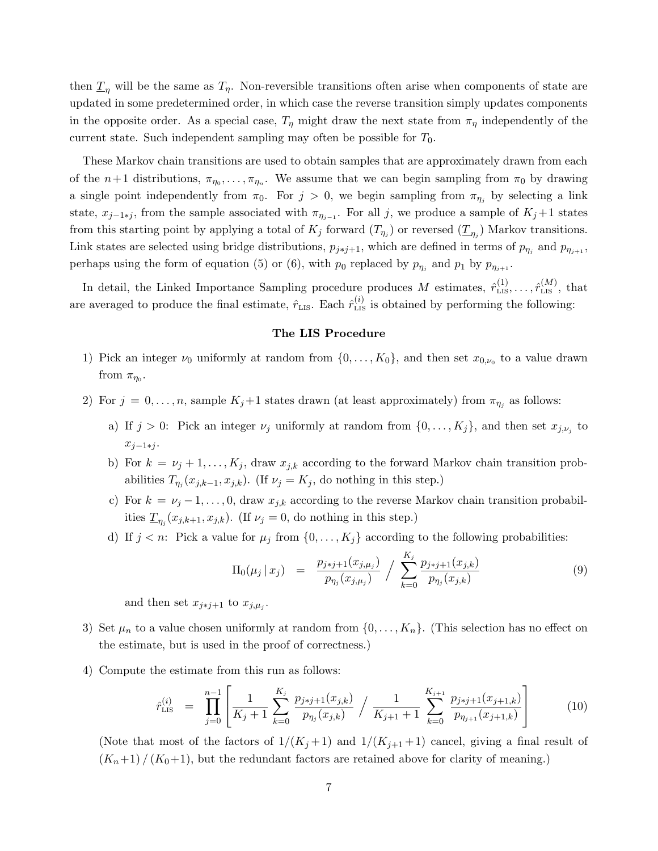then  $\underline{T}_n$  will be the same as  $T_n$ . Non-reversible transitions often arise when components of state are updated in some predetermined order, in which case the reverse transition simply updates components in the opposite order. As a special case,  $T_{\eta}$  might draw the next state from  $\pi_{\eta}$  independently of the current state. Such independent sampling may often be possible for  $T_0$ .

These Markov chain transitions are used to obtain samples that are approximately drawn from each of the  $n+1$  distributions,  $\pi_{\eta_0}, \ldots, \pi_{\eta_n}$ . We assume that we can begin sampling from  $\pi_0$  by drawing a single point independently from  $\pi_0$ . For  $j > 0$ , we begin sampling from  $\pi_{\eta_j}$  by selecting a link state,  $x_{j-1+j}$ , from the sample associated with  $\pi_{\eta_{j-1}}$ . For all j, we produce a sample of  $K_j+1$  states from this starting point by applying a total of  $K_j$  forward  $(T_{\eta_j})$  or reversed  $(\underline{T}_{\eta_j})$  Markov transitions. Link states are selected using bridge distributions,  $p_{j*1}$ , which are defined in terms of  $p_{\eta_j}$  and  $p_{\eta_{j+1}}$ , perhaps using the form of equation (5) or (6), with  $p_0$  replaced by  $p_{\eta_j}$  and  $p_1$  by  $p_{\eta_{j+1}}$ .

In detail, the Linked Importance Sampling procedure produces M estimates,  $\hat{r}_{\text{LIS}}^{(1)}, \ldots, \hat{r}_{\text{LIS}}^{(M)}$ , that are averaged to produce the final estimate,  $\hat{r}_{\text{LIS}}$ . Each  $\hat{r}_{\text{LIS}}^{(i)}$  is obtained by performing the following:

### The LIS Procedure

- 1) Pick an integer  $\nu_0$  uniformly at random from  $\{0, \ldots, K_0\}$ , and then set  $x_{0,\nu_0}$  to a value drawn from  $\pi_{\eta_0}$ .
- 2) For  $j = 0, \ldots, n$ , sample  $K_j+1$  states drawn (at least approximately) from  $\pi_{\eta_j}$  as follows:
	- a) If  $j > 0$ : Pick an integer  $\nu_j$  uniformly at random from  $\{0, \ldots, K_j\}$ , and then set  $x_{j,\nu_j}$  to  $x_{i-1+i}$ .
	- b) For  $k = \nu_j + 1, \ldots, K_j$ , draw  $x_{j,k}$  according to the forward Markov chain transition probabilities  $T_{\eta_j}(x_{j,k-1}, x_{j,k})$ . (If  $\nu_j = K_j$ , do nothing in this step.)
	- c) For  $k = \nu_j 1, \ldots, 0$ , draw  $x_{j,k}$  according to the reverse Markov chain transition probabilities  $\underline{T}_{\eta_j}(x_{j,k+1}, x_{j,k})$ . (If  $\nu_j = 0$ , do nothing in this step.)
	- d) If  $j < n$ : Pick a value for  $\mu_j$  from  $\{0, \ldots, K_j\}$  according to the following probabilities:

$$
\Pi_0(\mu_j \,|\, x_j) = \frac{p_{j \ast j+1}(x_{j,\mu_j})}{p_{\eta_j}(x_{j,\mu_j})} / \sum_{k=0}^{K_j} \frac{p_{j \ast j+1}(x_{j,k})}{p_{\eta_j}(x_{j,k})} \tag{9}
$$

and then set  $x_{j \ast j+1}$  to  $x_{j,\mu_j}$ .

- 3) Set  $\mu_n$  to a value chosen uniformly at random from  $\{0, \ldots, K_n\}$ . (This selection has no effect on the estimate, but is used in the proof of correctness.)
- 4) Compute the estimate from this run as follows:

$$
\hat{r}_{\text{LIS}}^{(i)} = \prod_{j=0}^{n-1} \left[ \frac{1}{K_j + 1} \sum_{k=0}^{K_j} \frac{p_{j \ast j + 1}(x_{j,k})}{p_{\eta_j}(x_{j,k})} / \frac{1}{K_{j+1} + 1} \sum_{k=0}^{K_{j+1}} \frac{p_{j \ast j + 1}(x_{j+1,k})}{p_{\eta_{j+1}}(x_{j+1,k})} \right]
$$
(10)

(Note that most of the factors of  $1/(K_j+1)$  and  $1/(K_{j+1}+1)$  cancel, giving a final result of  $(K_n+1)/(K_0+1)$ , but the redundant factors are retained above for clarity of meaning.)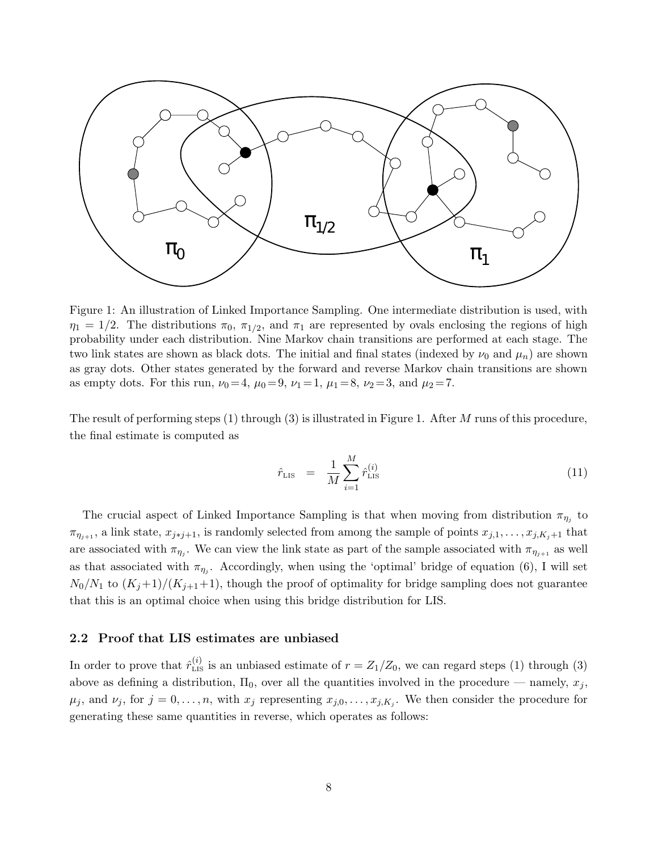

Figure 1: An illustration of Linked Importance Sampling. One intermediate distribution is used, with  $\eta_1 = 1/2$ . The distributions  $\pi_0$ ,  $\pi_{1/2}$ , and  $\pi_1$  are represented by ovals enclosing the regions of high probability under each distribution. Nine Markov chain transitions are performed at each stage. The two link states are shown as black dots. The initial and final states (indexed by  $\nu_0$  and  $\mu_n$ ) are shown as gray dots. Other states generated by the forward and reverse Markov chain transitions are shown as empty dots. For this run,  $\nu_0 = 4$ ,  $\mu_0 = 9$ ,  $\nu_1 = 1$ ,  $\mu_1 = 8$ ,  $\nu_2 = 3$ , and  $\mu_2 = 7$ .

The result of performing steps  $(1)$  through  $(3)$  is illustrated in Figure 1. After M runs of this procedure, the final estimate is computed as

$$
\hat{r}_{\text{LIS}} = \frac{1}{M} \sum_{i=1}^{M} \hat{r}_{\text{LIS}}^{(i)} \tag{11}
$$

The crucial aspect of Linked Importance Sampling is that when moving from distribution  $\pi_{\eta_i}$  to  $\pi_{\eta_{j+1}}$ , a link state,  $x_{j\ast j+1}$ , is randomly selected from among the sample of points  $x_{j,1}, \ldots, x_{j,K_j+1}$  that are associated with  $\pi_{\eta_i}$ . We can view the link state as part of the sample associated with  $\pi_{\eta_{i+1}}$  as well as that associated with  $\pi_{\eta_j}$ . Accordingly, when using the 'optimal' bridge of equation (6), I will set  $N_0/N_1$  to  $(K_j+1)/(K_{j+1}+1)$ , though the proof of optimality for bridge sampling does not guarantee that this is an optimal choice when using this bridge distribution for LIS.

#### 2.2 Proof that LIS estimates are unbiased

In order to prove that  $\hat{r}_{\text{LIS}}^{(i)}$  is an unbiased estimate of  $r = Z_1/Z_0$ , we can regard steps (1) through (3) above as defining a distribution,  $\Pi_0$ , over all the quantities involved in the procedure — namely,  $x_j$ ,  $\mu_j$ , and  $\nu_j$ , for  $j = 0, \ldots, n$ , with  $x_j$  representing  $x_{j,0}, \ldots, x_{j,K_j}$ . We then consider the procedure for generating these same quantities in reverse, which operates as follows: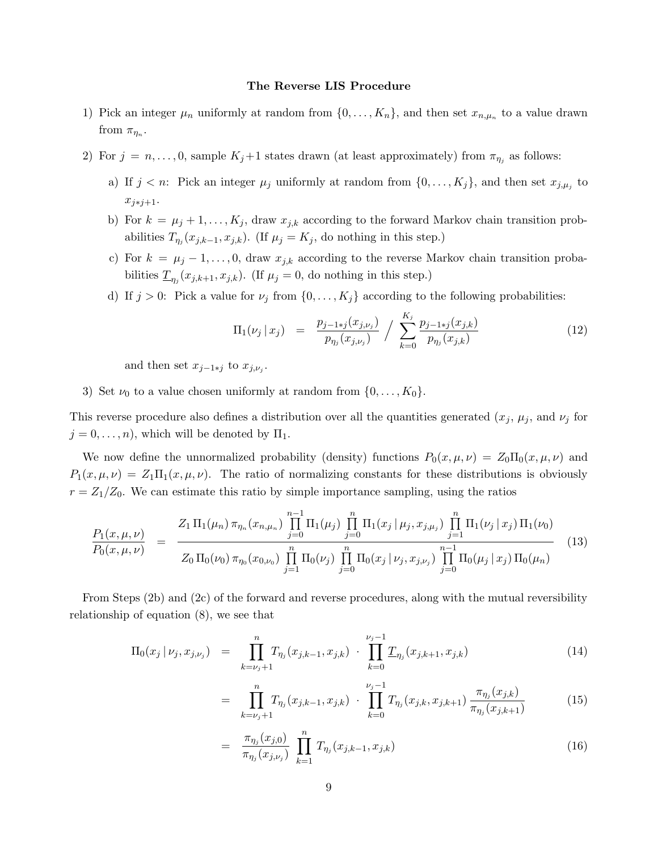#### The Reverse LIS Procedure

- 1) Pick an integer  $\mu_n$  uniformly at random from  $\{0, \ldots, K_n\}$ , and then set  $x_{n,\mu_n}$  to a value drawn from  $\pi_{\eta_n}$ .
- 2) For  $j = n, \ldots, 0$ , sample  $K_j+1$  states drawn (at least approximately) from  $\pi_{\eta_j}$  as follows:
	- a) If  $j < n$ : Pick an integer  $\mu_j$  uniformly at random from  $\{0, \ldots, K_j\}$ , and then set  $x_{j,\mu_j}$  to  $x_{j*1+1}$ .
	- b) For  $k = \mu_j + 1, \ldots, K_j$ , draw  $x_{j,k}$  according to the forward Markov chain transition probabilities  $T_{\eta_j}(x_{j,k-1}, x_{j,k})$ . (If  $\mu_j = K_j$ , do nothing in this step.)
	- c) For  $k = \mu_j 1, \ldots, 0$ , draw  $x_{j,k}$  according to the reverse Markov chain transition probabilities  $\underline{T}_{\eta_j}(x_{j,k+1}, x_{j,k})$ . (If  $\mu_j = 0$ , do nothing in this step.)
	- d) If  $j > 0$ : Pick a value for  $\nu_j$  from  $\{0, \ldots, K_j\}$  according to the following probabilities:

$$
\Pi_1(\nu_j \mid x_j) = \frac{p_{j-1+j}(x_{j,\nu_j})}{p_{\eta_j}(x_{j,\nu_j})} / \sum_{k=0}^{K_j} \frac{p_{j-1+j}(x_{j,k})}{p_{\eta_j}(x_{j,k})}
$$
(12)

and then set  $x_{j-1\ast j}$  to  $x_{j,\nu_j}$ .

3) Set  $\nu_0$  to a value chosen uniformly at random from  $\{0, \ldots, K_0\}$ .

This reverse procedure also defines a distribution over all the quantities generated  $(x_j, \mu_j)$ , and  $\nu_j$  for  $j = 0, \ldots, n$ , which will be denoted by  $\Pi_1$ .

We now define the unnormalized probability (density) functions  $P_0(x, \mu, \nu) = Z_0 \Pi_0(x, \mu, \nu)$  and  $P_1(x, \mu, \nu) = Z_1 \Pi_1(x, \mu, \nu)$ . The ratio of normalizing constants for these distributions is obviously  $r = Z_1/Z_0$ . We can estimate this ratio by simple importance sampling, using the ratios

$$
\frac{P_1(x,\mu,\nu)}{P_0(x,\mu,\nu)} = \frac{Z_1 \Pi_1(\mu_n) \pi_{\eta_n}(x_{n,\mu_n}) \prod_{j=0}^{n-1} \Pi_1(\mu_j) \prod_{j=0}^n \Pi_1(x_j | \mu_j, x_{j,\mu_j}) \prod_{j=1}^n \Pi_1(\nu_j | x_j) \Pi_1(\nu_0)}{Z_0 \Pi_0(\nu_0) \pi_{\eta_0}(x_{0,\nu_0}) \prod_{j=1}^n \Pi_0(\nu_j) \prod_{j=0}^n \Pi_0(x_j | \nu_j, x_{j,\nu_j}) \prod_{j=0}^{n-1} \Pi_0(\mu_j | x_j) \Pi_0(\mu_n)}
$$
(13)

From Steps (2b) and (2c) of the forward and reverse procedures, along with the mutual reversibility relationship of equation (8), we see that

$$
\Pi_0(x_j | \nu_j, x_{j, \nu_j}) = \prod_{k=\nu_j+1}^n T_{\eta_j}(x_{j,k-1}, x_{j,k}) \cdot \prod_{k=0}^{\nu_j-1} \underline{T}_{\eta_j}(x_{j,k+1}, x_{j,k}) \tag{14}
$$

$$
= \prod_{k=\nu_j+1}^n T_{\eta_j}(x_{j,k-1}, x_{j,k}) \cdot \prod_{k=0}^{\nu_j-1} T_{\eta_j}(x_{j,k}, x_{j,k+1}) \frac{\pi_{\eta_j}(x_{j,k})}{\pi_{\eta_j}(x_{j,k+1})} \tag{15}
$$

$$
= \frac{\pi_{\eta_j}(x_{j,0})}{\pi_{\eta_j}(x_{j,\nu_j})} \prod_{k=1}^n T_{\eta_j}(x_{j,k-1}, x_{j,k})
$$
\n(16)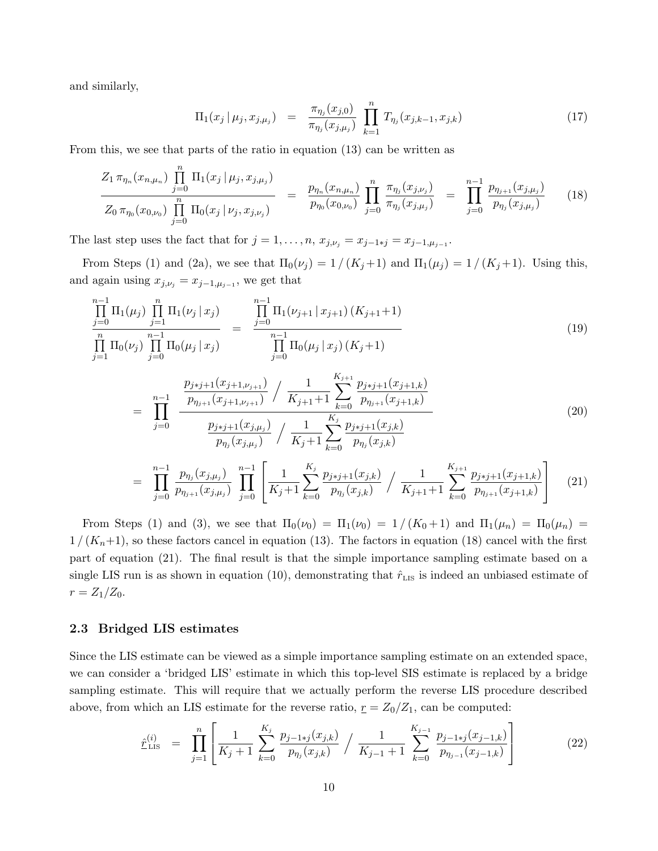and similarly,

$$
\Pi_1(x_j \mid \mu_j, x_{j,\mu_j}) = \frac{\pi_{\eta_j}(x_{j,0})}{\pi_{\eta_j}(x_{j,\mu_j})} \prod_{k=1}^n T_{\eta_j}(x_{j,k-1}, x_{j,k}) \tag{17}
$$

From this, we see that parts of the ratio in equation (13) can be written as

$$
\frac{Z_1 \pi_{\eta_n}(x_{n,\mu_n}) \prod_{j=0}^n \Pi_1(x_j | \mu_j, x_{j,\mu_j})}{Z_0 \pi_{\eta_0}(x_{0,\mu_0}) \prod_{j=0}^n \Pi_0(x_j | \nu_j, x_{j,\mu_j})} = \frac{p_{\eta_n}(x_{n,\mu_n})}{p_{\eta_0}(x_{0,\mu_0})} \prod_{j=0}^n \frac{\pi_{\eta_j}(x_{j,\mu_j})}{\pi_{\eta_j}(x_{j,\mu_j})} = \prod_{j=0}^{n-1} \frac{p_{\eta_{j+1}}(x_{j,\mu_j})}{p_{\eta_j}(x_{j,\mu_j})}
$$
(18)

The last step uses the fact that for  $j = 1, \ldots, n$ ,  $x_{j,\nu_j} = x_{j-1+j} = x_{j-1,\mu_{j-1}}$ .

From Steps (1) and (2a), we see that  $\Pi_0(\nu_j) = 1/(K_j+1)$  and  $\Pi_1(\mu_j) = 1/(K_j+1)$ . Using this, and again using  $x_{j,\nu_j} = x_{j-1,\mu_{j-1}}$ , we get that

$$
\frac{\prod_{j=0}^{n-1} \Pi_1(\mu_j) \prod_{j=1}^n \Pi_1(\nu_j | x_j)}{\prod_{j=0}^n \Pi_0(\mu_j) \prod_{j=0}^{n-1} \Pi_0(\mu_j | x_j)} = \frac{\prod_{j=0}^{n-1} \Pi_1(\nu_{j+1} | x_{j+1}) (K_{j+1} + 1)}{\prod_{j=0}^{n-1} \Pi_0(\mu_j | x_j) (K_j + 1)}
$$
\n
$$
= \prod_{j=0}^{n-1} \frac{\frac{p_{j+j+1}(x_{j+1}, p_{j+1})}{p_{\eta_{j+1}}(x_{j+1}, p_{j+1})} / \frac{1}{K_{j+1} + 1} \sum_{k=0}^{K_{j+1}} \frac{p_{j+j+1}(x_{j+1,k})}{p_{\eta_{j+1}}(x_{j+1,k})}
$$
\n
$$
= \prod_{j=0}^{n-1} \frac{\frac{p_{j+j+1}(x_{j+1}, p_{j+1})}{p_{\eta_j}(x_{j,\mu_j})} / \frac{1}{K_j + 1} \sum_{k=0}^{K_j} \frac{p_{j+j+1}(x_{j,k})}{p_{\eta_j}(x_{j,k})}
$$
\n
$$
= \frac{\sum_{j=0}^{n-1} \frac{p_{j+1}(x_{j,\mu_j})}{p_{\eta_j}(x_{j,\mu_j})} / \frac{1}{K_j + 1} \sum_{k=0}^{K_j} \frac{p_{j+1}(x_{j,k})}{p_{\eta_j}(x_{j,k})}
$$
\n
$$
= \frac{\sum_{j=0}^{n-1} \frac{p_{j+1}(x_{j+1})}{p_{\eta_j}(x_{j+1})} / \frac{1}{K_j + 1} \sum_{k=0}^{K_j} \frac{p_{j+1}(x_{j+1})}{p_{\eta_j}(x_{j+1})} (x_{j+1})}
$$
\n(20)

$$
= \prod_{j=0}^{n-1} \frac{p_{\eta_j}(x_{j,\mu_j})}{p_{\eta_{j+1}}(x_{j,\mu_j})} \prod_{j=0}^{n-1} \left[ \frac{1}{K_j+1} \sum_{k=0}^{K_j} \frac{p_{j+j+1}(x_{j,k})}{p_{\eta_j}(x_{j,k})} / \frac{1}{K_{j+1}+1} \sum_{k=0}^{K_{j+1}} \frac{p_{j+j+1}(x_{j+1,k})}{p_{\eta_{j+1}}(x_{j+1,k})} \right] \tag{21}
$$

From Steps (1) and (3), we see that  $\Pi_0(\nu_0) = \Pi_1(\nu_0) = 1/(K_0+1)$  and  $\Pi_1(\mu_n) = \Pi_0(\mu_n) =$  $1/(K_n+1)$ , so these factors cancel in equation (13). The factors in equation (18) cancel with the first part of equation (21). The final result is that the simple importance sampling estimate based on a single LIS run is as shown in equation (10), demonstrating that  $\hat{r}_{\text{LIS}}$  is indeed an unbiased estimate of  $r = Z_1/Z_0$ .

### 2.3 Bridged LIS estimates

Since the LIS estimate can be viewed as a simple importance sampling estimate on an extended space, we can consider a 'bridged LIS' estimate in which this top-level SIS estimate is replaced by a bridge sampling estimate. This will require that we actually perform the reverse LIS procedure described above, from which an LIS estimate for the reverse ratio,  $r = Z_0/Z_1$ , can be computed:

$$
\hat{\mathcal{r}}_{\text{LIS}}^{(i)} = \prod_{j=1}^{n} \left[ \frac{1}{K_j + 1} \sum_{k=0}^{K_j} \frac{p_{j-1+j}(x_{j,k})}{p_{\eta_j}(x_{j,k})} / \frac{1}{K_{j-1} + 1} \sum_{k=0}^{K_{j-1}} \frac{p_{j-1+j}(x_{j-1,k})}{p_{\eta_{j-1}}(x_{j-1,k})} \right]
$$
(22)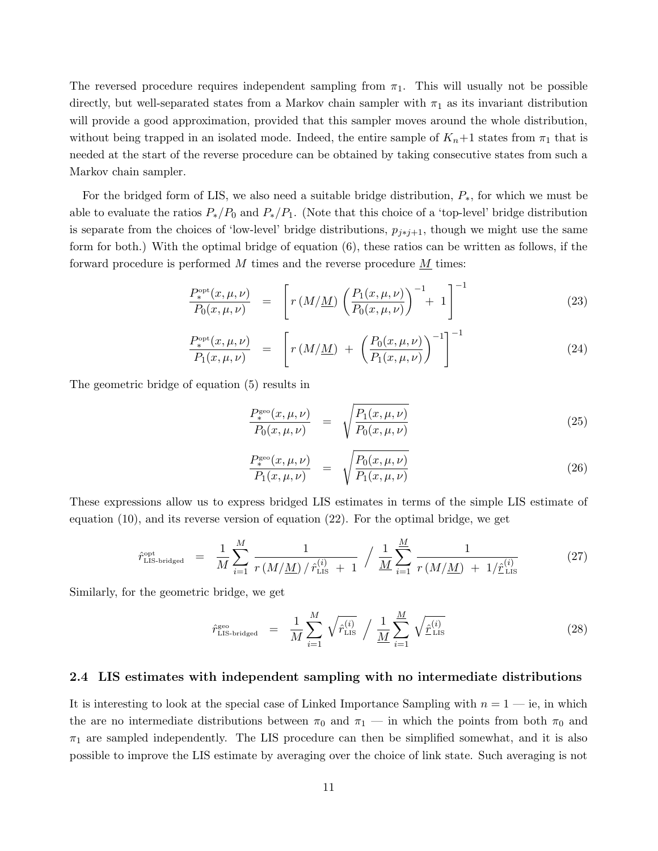The reversed procedure requires independent sampling from  $\pi_1$ . This will usually not be possible directly, but well-separated states from a Markov chain sampler with  $\pi_1$  as its invariant distribution will provide a good approximation, provided that this sampler moves around the whole distribution, without being trapped in an isolated mode. Indeed, the entire sample of  $K_n+1$  states from  $\pi_1$  that is needed at the start of the reverse procedure can be obtained by taking consecutive states from such a Markov chain sampler.

For the bridged form of LIS, we also need a suitable bridge distribution,  $P_*$ , for which we must be able to evaluate the ratios  $P_*/P_0$  and  $P_*/P_1$ . (Note that this choice of a 'top-level' bridge distribution is separate from the choices of 'low-level' bridge distributions,  $p_{i*1+1}$ , though we might use the same form for both.) With the optimal bridge of equation (6), these ratios can be written as follows, if the forward procedure is performed M times and the reverse procedure  $\underline{M}$  times:

$$
\frac{P_*^{\rm opt}(x,\mu,\nu)}{P_0(x,\mu,\nu)} = \left[ r\left(M/\underline{M}\right) \left(\frac{P_1(x,\mu,\nu)}{P_0(x,\mu,\nu)}\right)^{-1} + 1 \right]^{-1} \tag{23}
$$

$$
\frac{P_*^{\rm opt}(x,\mu,\nu)}{P_1(x,\mu,\nu)} = \left[ r\left(M/\underline{M}\right) + \left(\frac{P_0(x,\mu,\nu)}{P_1(x,\mu,\nu)}\right)^{-1} \right]^{-1} \tag{24}
$$

The geometric bridge of equation (5) results in

$$
\frac{P_*^{\text{geo}}(x,\mu,\nu)}{P_0(x,\mu,\nu)} = \sqrt{\frac{P_1(x,\mu,\nu)}{P_0(x,\mu,\nu)}}
$$
(25)

$$
\frac{P_*^{\rm geo}(x,\mu,\nu)}{P_1(x,\mu,\nu)} = \sqrt{\frac{P_0(x,\mu,\nu)}{P_1(x,\mu,\nu)}}
$$
\n(26)

These expressions allow us to express bridged LIS estimates in terms of the simple LIS estimate of equation (10), and its reverse version of equation (22). For the optimal bridge, we get

$$
\hat{r}_{\text{LIS-bridgeed}}^{\text{opt}} = \frac{1}{M} \sum_{i=1}^{M} \frac{1}{r (M/M) / \hat{r}_{\text{LIS}}^{(i)} + 1} / \frac{1}{M} \sum_{i=1}^{M} \frac{1}{r (M/M) + 1/\hat{r}_{\text{LIS}}^{(i)}} \tag{27}
$$

Similarly, for the geometric bridge, we get

$$
\hat{r}_{\text{LIS-bridged}}^{\text{geo}} = \frac{1}{M} \sum_{i=1}^{M} \sqrt{\hat{r}_{\text{LIS}}^{(i)}} / \frac{1}{M} \sum_{i=1}^{M} \sqrt{\hat{r}_{\text{LIS}}^{(i)}}
$$
\n(28)

#### 2.4 LIS estimates with independent sampling with no intermediate distributions

It is interesting to look at the special case of Linked Importance Sampling with  $n = 1 - i$ e, in which the are no intermediate distributions between  $\pi_0$  and  $\pi_1$  — in which the points from both  $\pi_0$  and  $\pi_1$  are sampled independently. The LIS procedure can then be simplified somewhat, and it is also possible to improve the LIS estimate by averaging over the choice of link state. Such averaging is not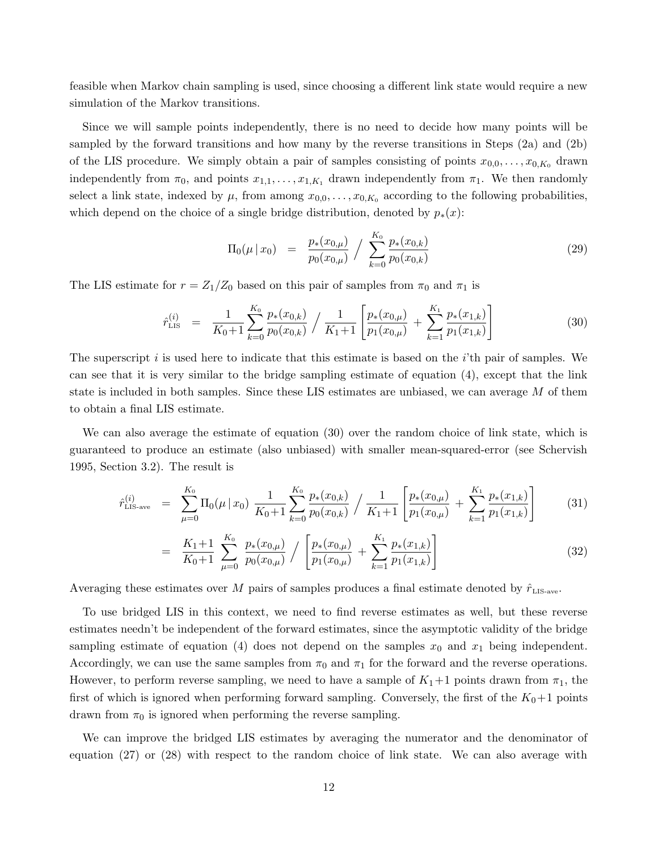feasible when Markov chain sampling is used, since choosing a different link state would require a new simulation of the Markov transitions.

Since we will sample points independently, there is no need to decide how many points will be sampled by the forward transitions and how many by the reverse transitions in Steps (2a) and (2b) of the LIS procedure. We simply obtain a pair of samples consisting of points  $x_{0,0}, \ldots, x_{0,K_0}$  drawn independently from  $\pi_0$ , and points  $x_{1,1}, \ldots, x_{1,K_1}$  drawn independently from  $\pi_1$ . We then randomly select a link state, indexed by  $\mu$ , from among  $x_{0,0}, \ldots, x_{0,K_0}$  according to the following probabilities, which depend on the choice of a single bridge distribution, denoted by  $p_*(x)$ :

$$
\Pi_0(\mu \,|\, x_0) = \frac{p_*(x_{0,\mu})}{p_0(x_{0,\mu})} / \sum_{k=0}^{K_0} \frac{p_*(x_{0,k})}{p_0(x_{0,k})} \tag{29}
$$

The LIS estimate for  $r = Z_1/Z_0$  based on this pair of samples from  $\pi_0$  and  $\pi_1$  is

$$
\hat{r}_{\text{LIS}}^{(i)} = \frac{1}{K_0 + 1} \sum_{k=0}^{K_0} \frac{p_*(x_{0,k})}{p_0(x_{0,k})} / \frac{1}{K_1 + 1} \left[ \frac{p_*(x_{0,\mu})}{p_1(x_{0,\mu})} + \sum_{k=1}^{K_1} \frac{p_*(x_{1,k})}{p_1(x_{1,k})} \right]
$$
(30)

The superscript  $i$  is used here to indicate that this estimate is based on the  $i$ 'th pair of samples. We can see that it is very similar to the bridge sampling estimate of equation (4), except that the link state is included in both samples. Since these LIS estimates are unbiased, we can average M of them to obtain a final LIS estimate.

We can also average the estimate of equation (30) over the random choice of link state, which is guaranteed to produce an estimate (also unbiased) with smaller mean-squared-error (see Schervish 1995, Section 3.2). The result is

$$
\hat{r}_{\text{LIS-ave}}^{(i)} = \sum_{\mu=0}^{K_0} \Pi_0(\mu \,|\, x_0) \, \frac{1}{K_0 + 1} \sum_{k=0}^{K_0} \frac{p_*(x_{0,k})}{p_0(x_{0,k})} / \frac{1}{K_1 + 1} \left[ \frac{p_*(x_{0,\mu})}{p_1(x_{0,\mu})} + \sum_{k=1}^{K_1} \frac{p_*(x_{1,k})}{p_1(x_{1,k})} \right] \tag{31}
$$

$$
= \frac{K_1+1}{K_0+1} \sum_{\mu=0}^{K_0} \frac{p_*(x_{0,\mu})}{p_0(x_{0,\mu})} / \left[ \frac{p_*(x_{0,\mu})}{p_1(x_{0,\mu})} + \sum_{k=1}^{K_1} \frac{p_*(x_{1,k})}{p_1(x_{1,k})} \right]
$$
(32)

Averaging these estimates over M pairs of samples produces a final estimate denoted by  $\hat{r}_{\text{LIS-ave}}$ .

To use bridged LIS in this context, we need to find reverse estimates as well, but these reverse estimates needn't be independent of the forward estimates, since the asymptotic validity of the bridge sampling estimate of equation (4) does not depend on the samples  $x_0$  and  $x_1$  being independent. Accordingly, we can use the same samples from  $\pi_0$  and  $\pi_1$  for the forward and the reverse operations. However, to perform reverse sampling, we need to have a sample of  $K_1+1$  points drawn from  $\pi_1$ , the first of which is ignored when performing forward sampling. Conversely, the first of the  $K_0+1$  points drawn from  $\pi_0$  is ignored when performing the reverse sampling.

We can improve the bridged LIS estimates by averaging the numerator and the denominator of equation (27) or (28) with respect to the random choice of link state. We can also average with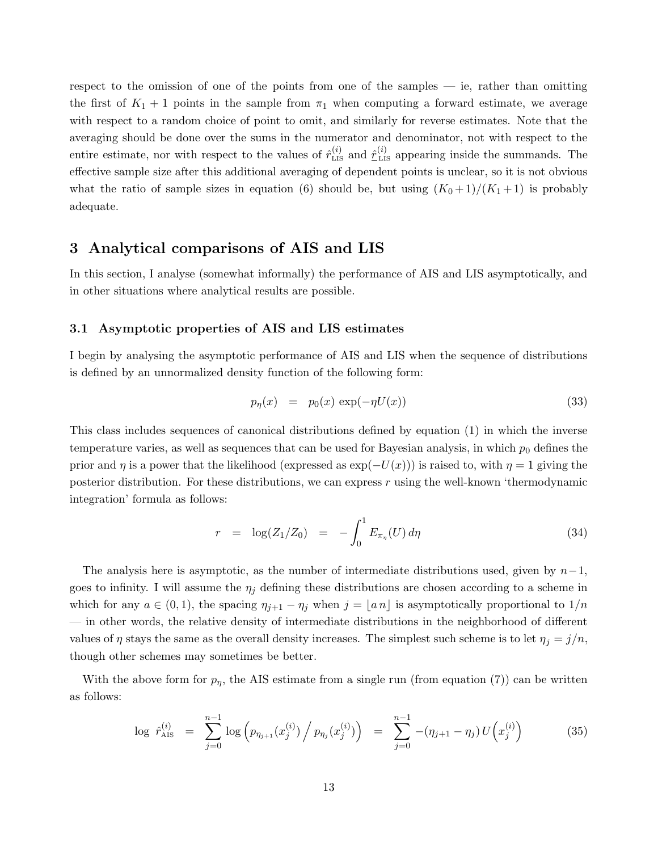respect to the omission of one of the points from one of the samples — ie, rather than omitting the first of  $K_1 + 1$  points in the sample from  $\pi_1$  when computing a forward estimate, we average with respect to a random choice of point to omit, and similarly for reverse estimates. Note that the averaging should be done over the sums in the numerator and denominator, not with respect to the entire estimate, nor with respect to the values of  $\hat{r}_{\text{LIS}}^{(i)}$  and  $\hat{r}_{\text{LIS}}^{(i)}$  appearing inside the summands. The effective sample size after this additional averaging of dependent points is unclear, so it is not obvious what the ratio of sample sizes in equation (6) should be, but using  $(K_0+1)/(K_1+1)$  is probably adequate.

### 3 Analytical comparisons of AIS and LIS

In this section, I analyse (somewhat informally) the performance of AIS and LIS asymptotically, and in other situations where analytical results are possible.

### 3.1 Asymptotic properties of AIS and LIS estimates

I begin by analysing the asymptotic performance of AIS and LIS when the sequence of distributions is defined by an unnormalized density function of the following form:

$$
p_{\eta}(x) = p_0(x) \exp(-\eta U(x)) \tag{33}
$$

This class includes sequences of canonical distributions defined by equation (1) in which the inverse temperature varies, as well as sequences that can be used for Bayesian analysis, in which  $p_0$  defines the prior and  $\eta$  is a power that the likelihood (expressed as  $\exp(-U(x))$ ) is raised to, with  $\eta = 1$  giving the posterior distribution. For these distributions, we can express r using the well-known 'thermodynamic integration' formula as follows:

$$
r = \log(Z_1/Z_0) = -\int_0^1 E_{\pi_\eta}(U) d\eta \tag{34}
$$

The analysis here is asymptotic, as the number of intermediate distributions used, given by  $n-1$ , goes to infinity. I will assume the  $\eta_j$  defining these distributions are chosen according to a scheme in which for any  $a \in (0,1)$ , the spacing  $\eta_{j+1} - \eta_j$  when  $j = \lfloor a \, n \rfloor$  is asymptotically proportional to  $1/n$ — in other words, the relative density of intermediate distributions in the neighborhood of different values of  $\eta$  stays the same as the overall density increases. The simplest such scheme is to let  $\eta_j = j/n$ , though other schemes may sometimes be better.

With the above form for  $p_{\eta}$ , the AIS estimate from a single run (from equation (7)) can be written as follows:

$$
\log \hat{r}_{\text{AIS}}^{(i)} = \sum_{j=0}^{n-1} \log \left( p_{\eta_{j+1}}(x_j^{(i)}) \Big/ p_{\eta_j}(x_j^{(i)}) \right) = \sum_{j=0}^{n-1} - (\eta_{j+1} - \eta_j) U(x_j^{(i)}) \tag{35}
$$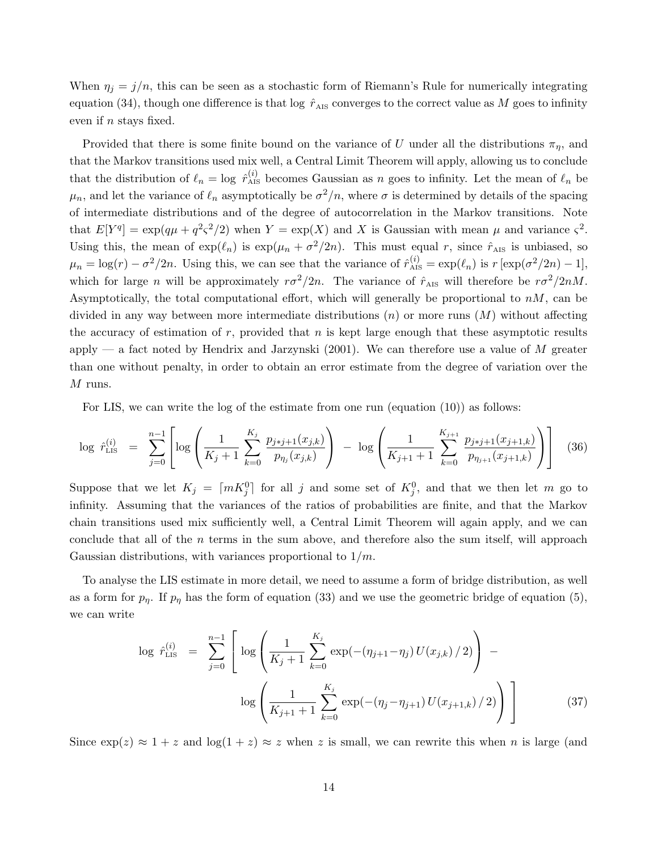When  $\eta_j = j/n$ , this can be seen as a stochastic form of Riemann's Rule for numerically integrating equation (34), though one difference is that log  $\hat{r}_{\text{AIS}}$  converges to the correct value as M goes to infinity even if n stays fixed.

Provided that there is some finite bound on the variance of U under all the distributions  $\pi_{\eta}$ , and that the Markov transitions used mix well, a Central Limit Theorem will apply, allowing us to conclude that the distribution of  $\ell_n = \log \hat{r}_{\text{AIS}}^{(i)}$  becomes Gaussian as n goes to infinity. Let the mean of  $\ell_n$  be  $\mu_n$ , and let the variance of  $\ell_n$  asymptotically be  $\sigma^2/n$ , where  $\sigma$  is determined by details of the spacing of intermediate distributions and of the degree of autocorrelation in the Markov transitions. Note that  $E[Y^q] = \exp(q\mu + q^2\varsigma^2/2)$  when  $Y = \exp(X)$  and X is Gaussian with mean  $\mu$  and variance  $\varsigma^2$ . Using this, the mean of  $\exp(\ell_n)$  is  $\exp(\mu_n + \sigma^2/2n)$ . This must equal r, since  $\hat{r}_{\text{AIS}}$  is unbiased, so  $\mu_n = \log(r) - \sigma^2/2n$ . Using this, we can see that the variance of  $\hat{r}_{\text{AIS}}^{(i)} = \exp(\ell_n)$  is  $r [\exp(\sigma^2/2n) - 1]$ , which for large n will be approximately  $r\sigma^2/2n$ . The variance of  $\hat{r}_{\text{AIS}}$  will therefore be  $r\sigma^2/2nM$ . Asymptotically, the total computational effort, which will generally be proportional to  $nM$ , can be divided in any way between more intermediate distributions  $(n)$  or more runs  $(M)$  without affecting the accuracy of estimation of r, provided that n is kept large enough that these asymptotic results apply — a fact noted by Hendrix and Jarzynski  $(2001)$ . We can therefore use a value of M greater than one without penalty, in order to obtain an error estimate from the degree of variation over the  $M$  runs.

For LIS, we can write the log of the estimate from one run (equation (10)) as follows:

$$
\log \hat{r}_{\text{LIS}}^{(i)} = \sum_{j=0}^{n-1} \left[ \log \left( \frac{1}{K_j + 1} \sum_{k=0}^{K_j} \frac{p_{j+j+1}(x_{j,k})}{p_{\eta_j}(x_{j,k})} \right) - \log \left( \frac{1}{K_{j+1} + 1} \sum_{k=0}^{K_{j+1}} \frac{p_{j+j+1}(x_{j+1,k})}{p_{\eta_{j+1}}(x_{j+1,k})} \right) \right] \tag{36}
$$

Suppose that we let  $K_j = \lceil mK_j^0 \rceil$  for all j and some set of  $K_j^0$ , and that we then let m go to infinity. Assuming that the variances of the ratios of probabilities are finite, and that the Markov chain transitions used mix sufficiently well, a Central Limit Theorem will again apply, and we can conclude that all of the  $n$  terms in the sum above, and therefore also the sum itself, will approach Gaussian distributions, with variances proportional to  $1/m$ .

To analyse the LIS estimate in more detail, we need to assume a form of bridge distribution, as well as a form for  $p_{\eta}$ . If  $p_{\eta}$  has the form of equation (33) and we use the geometric bridge of equation (5), we can write

$$
\log \hat{r}_{\text{LIS}}^{(i)} = \sum_{j=0}^{n-1} \left[ \log \left( \frac{1}{K_j + 1} \sum_{k=0}^{K_j} \exp(-(\eta_{j+1} - \eta_j) U(x_{j,k}) / 2) \right) - \log \left( \frac{1}{K_{j+1} + 1} \sum_{k=0}^{K_j} \exp(-(\eta_j - \eta_{j+1}) U(x_{j+1,k}) / 2) \right) \right]
$$
(37)

Since  $\exp(z) \approx 1 + z$  and  $\log(1 + z) \approx z$  when z is small, we can rewrite this when n is large (and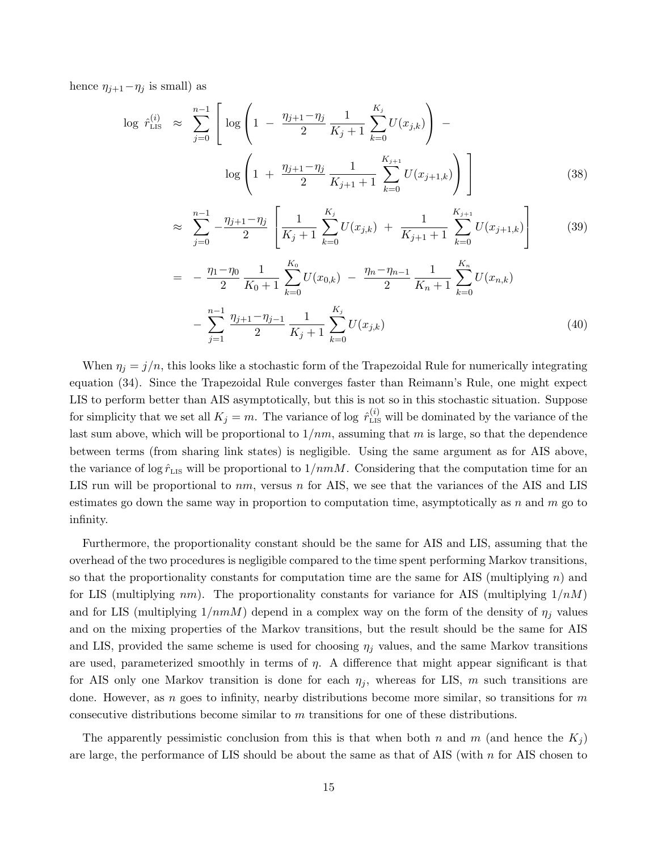hence  $\eta_{j+1}-\eta_j$  is small) as

$$
\log \hat{r}_{\text{LIS}}^{(i)} \approx \sum_{j=0}^{n-1} \left[ \log \left( 1 - \frac{\eta_{j+1} - \eta_j}{2} \frac{1}{K_j + 1} \sum_{k=0}^{K_j} U(x_{j,k}) \right) - \log \left( 1 + \frac{\eta_{j+1} - \eta_j}{2} \frac{1}{K_{j+1} + 1} \sum_{k=0}^{K_{j+1}} U(x_{j+1,k}) \right) \right]
$$
(38)

$$
\approx \sum_{j=0}^{n-1} -\frac{\eta_{j+1} - \eta_j}{2} \left[ \frac{1}{K_j + 1} \sum_{k=0}^{K_j} U(x_{j,k}) + \frac{1}{K_{j+1} + 1} \sum_{k=0}^{K_{j+1}} U(x_{j+1,k}) \right]
$$
(39)

$$
= -\frac{\eta_1 - \eta_0}{2} \frac{1}{K_0 + 1} \sum_{k=0}^{K_0} U(x_{0,k}) - \frac{\eta_n - \eta_{n-1}}{2} \frac{1}{K_n + 1} \sum_{k=0}^{K_n} U(x_{n,k}) - \sum_{j=1}^{n-1} \frac{\eta_{j+1} - \eta_{j-1}}{2} \frac{1}{K_j + 1} \sum_{k=0}^{K_j} U(x_{j,k})
$$
\n(40)

When  $\eta_j = j/n$ , this looks like a stochastic form of the Trapezoidal Rule for numerically integrating equation (34). Since the Trapezoidal Rule converges faster than Reimann's Rule, one might expect LIS to perform better than AIS asymptotically, but this is not so in this stochastic situation. Suppose for simplicity that we set all  $K_j = m$ . The variance of log  $\hat{r}^{(i)}_{\text{LIS}}$  will be dominated by the variance of the last sum above, which will be proportional to  $1/mn$ , assuming that m is large, so that the dependence between terms (from sharing link states) is negligible. Using the same argument as for AIS above, the variance of log  $\hat{r}_{\text{LIS}}$  will be proportional to  $1/nmM$ . Considering that the computation time for an LIS run will be proportional to  $nm$ , versus n for AIS, we see that the variances of the AIS and LIS estimates go down the same way in proportion to computation time, asymptotically as  $n$  and  $m$  go to infinity.

Furthermore, the proportionality constant should be the same for AIS and LIS, assuming that the overhead of the two procedures is negligible compared to the time spent performing Markov transitions, so that the proportionality constants for computation time are the same for AIS (multiplying  $n$ ) and for LIS (multiplying  $nm$ ). The proportionality constants for variance for AIS (multiplying  $1/nM$ ) and for LIS (multiplying  $1/nmM$ ) depend in a complex way on the form of the density of  $\eta_j$  values and on the mixing properties of the Markov transitions, but the result should be the same for AIS and LIS, provided the same scheme is used for choosing  $\eta_j$  values, and the same Markov transitions are used, parameterized smoothly in terms of  $\eta$ . A difference that might appear significant is that for AIS only one Markov transition is done for each  $\eta_i$ , whereas for LIS, m such transitions are done. However, as n goes to infinity, nearby distributions become more similar, so transitions for  $m$ consecutive distributions become similar to m transitions for one of these distributions.

The apparently pessimistic conclusion from this is that when both n and m (and hence the  $K_j$ ) are large, the performance of LIS should be about the same as that of AIS (with  $n$  for AIS chosen to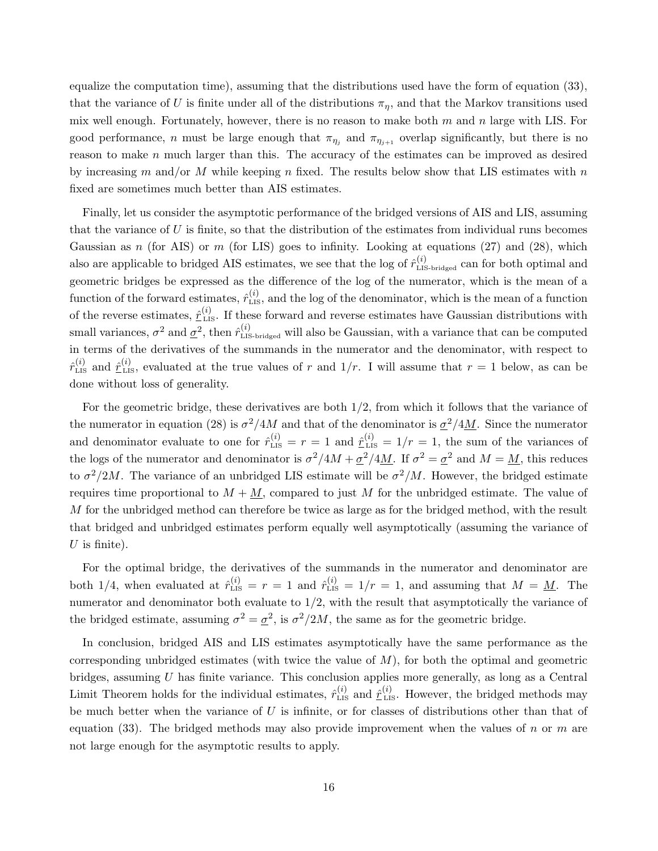equalize the computation time), assuming that the distributions used have the form of equation (33), that the variance of U is finite under all of the distributions  $\pi_{\eta}$ , and that the Markov transitions used mix well enough. Fortunately, however, there is no reason to make both  $m$  and  $n$  large with LIS. For good performance, n must be large enough that  $\pi_{\eta_j}$  and  $\pi_{\eta_{j+1}}$  overlap significantly, but there is no reason to make n much larger than this. The accuracy of the estimates can be improved as desired by increasing m and/or M while keeping n fixed. The results below show that LIS estimates with n fixed are sometimes much better than AIS estimates.

Finally, let us consider the asymptotic performance of the bridged versions of AIS and LIS, assuming that the variance of  $U$  is finite, so that the distribution of the estimates from individual runs becomes Gaussian as n (for AIS) or m (for LIS) goes to infinity. Looking at equations  $(27)$  and  $(28)$ , which also are applicable to bridged AIS estimates, we see that the log of  $\hat{r}_{\text{LLS-bridge}}^{(i)}$  can for both optimal and geometric bridges be expressed as the difference of the log of the numerator, which is the mean of a function of the forward estimates,  $\hat{r}_{\text{LIS}}^{(i)}$ , and the log of the denominator, which is the mean of a function of the reverse estimates,  $\hat{r}_{\text{LIS}}^{(i)}$ . If these forward and reverse estimates have Gaussian distributions with small variances,  $\sigma^2$  and  $\underline{\sigma}^2$ , then  $\hat{r}_{\text{LIS-bridged}}^{(i)}$  will also be Gaussian, with a variance that can be computed in terms of the derivatives of the summands in the numerator and the denominator, with respect to  $\hat{r}^{(i)}_{\text{LIS}}$  and  $\hat{r}^{(i)}_{\text{LIS}}$ , evaluated at the true values of r and  $1/r$ . I will assume that  $r=1$  below, as can be done without loss of generality.

For the geometric bridge, these derivatives are both 1/2, from which it follows that the variance of the numerator in equation (28) is  $\sigma^2/4M$  and that of the denominator is  $\sigma^2/4M$ . Since the numerator and denominator evaluate to one for  $\hat{r}_{\text{LIS}}^{(i)} = r = 1$  and  $\hat{r}_{\text{LIS}}^{(i)} = 1/r = 1$ , the sum of the variances of the logs of the numerator and denominator is  $\sigma^2/4M + \sigma^2/4M$ . If  $\sigma^2 = \sigma^2$  and  $M = M$ , this reduces to  $\sigma^2/2M$ . The variance of an unbridged LIS estimate will be  $\sigma^2/M$ . However, the bridged estimate requires time proportional to  $M + M$ , compared to just M for the unbridged estimate. The value of M for the unbridged method can therefore be twice as large as for the bridged method, with the result that bridged and unbridged estimates perform equally well asymptotically (assuming the variance of  $U$  is finite).

For the optimal bridge, the derivatives of the summands in the numerator and denominator are both 1/4, when evaluated at  $\hat{r}_{\text{LIS}}^{(i)} = r = 1$  and  $\hat{r}_{\text{LIS}}^{(i)} = 1/r = 1$ , and assuming that  $M = \underline{M}$ . The numerator and denominator both evaluate to  $1/2$ , with the result that asymptotically the variance of the bridged estimate, assuming  $\sigma^2 = \underline{\sigma}^2$ , is  $\sigma^2/2M$ , the same as for the geometric bridge.

In conclusion, bridged AIS and LIS estimates asymptotically have the same performance as the corresponding unbridged estimates (with twice the value of  $M$ ), for both the optimal and geometric bridges, assuming U has finite variance. This conclusion applies more generally, as long as a Central Limit Theorem holds for the individual estimates,  $\hat{r}_{\text{LIS}}^{(i)}$  and  $\hat{r}_{\text{LIS}}^{(i)}$ . However, the bridged methods may be much better when the variance of  $U$  is infinite, or for classes of distributions other than that of equation (33). The bridged methods may also provide improvement when the values of n or m are not large enough for the asymptotic results to apply.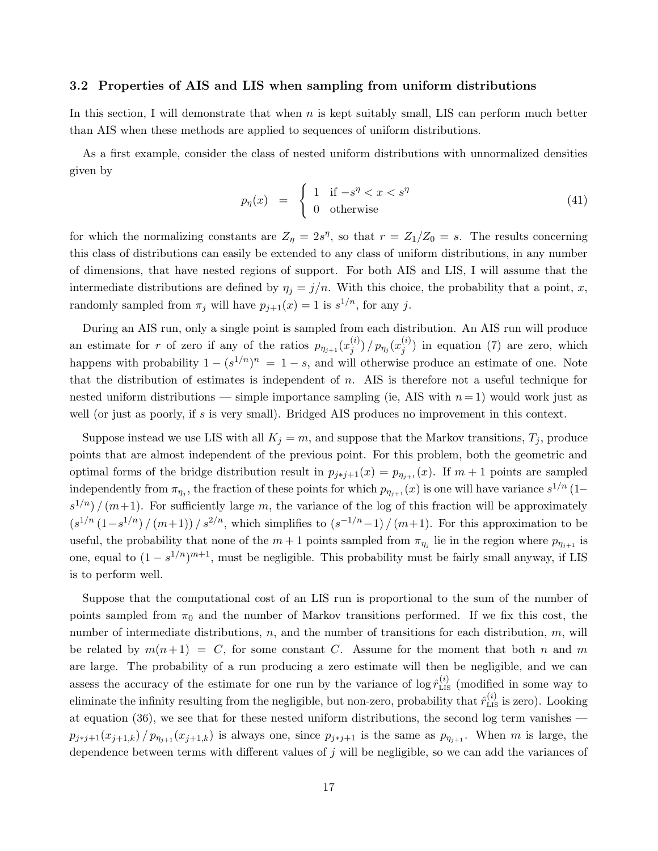### 3.2 Properties of AIS and LIS when sampling from uniform distributions

In this section, I will demonstrate that when n is kept suitably small, LIS can perform much better than AIS when these methods are applied to sequences of uniform distributions.

As a first example, consider the class of nested uniform distributions with unnormalized densities given by

$$
p_{\eta}(x) = \begin{cases} 1 & \text{if } -s^{\eta} < x < s^{\eta} \\ 0 & \text{otherwise} \end{cases} \tag{41}
$$

for which the normalizing constants are  $Z_{\eta} = 2s^{\eta}$ , so that  $r = Z_1/Z_0 = s$ . The results concerning this class of distributions can easily be extended to any class of uniform distributions, in any number of dimensions, that have nested regions of support. For both AIS and LIS, I will assume that the intermediate distributions are defined by  $\eta_i = j/n$ . With this choice, the probability that a point, x, randomly sampled from  $\pi_j$  will have  $p_{j+1}(x) = 1$  is  $s^{1/n}$ , for any j.

During an AIS run, only a single point is sampled from each distribution. An AIS run will produce an estimate for r of zero if any of the ratios  $p_{\eta_{j+1}}(x_i^{(i)})$  $\binom{(i)}{j}$  /  $p_{\eta_j}(x_j^{(i)})$  $j^{(i)}$ ) in equation (7) are zero, which happens with probability  $1 - (s^{1/n})^n = 1 - s$ , and will otherwise produce an estimate of one. Note that the distribution of estimates is independent of n. AIS is therefore not a useful technique for nested uniform distributions — simple importance sampling (ie, AIS with  $n=1$ ) would work just as well (or just as poorly, if s is very small). Bridged AIS produces no improvement in this context.

Suppose instead we use LIS with all  $K_j = m$ , and suppose that the Markov transitions,  $T_j$ , produce points that are almost independent of the previous point. For this problem, both the geometric and optimal forms of the bridge distribution result in  $p_{j \ast j+1}(x) = p_{\eta_{j+1}}(x)$ . If  $m + 1$  points are sampled independently from  $\pi_{\eta_j}$ , the fraction of these points for which  $p_{\eta_{j+1}}(x)$  is one will have variance  $s^{1/n}$  (1–  $s^{1/n}$  /  $(m+1)$ . For sufficiently large m, the variance of the log of this fraction will be approximately  $(s^{1/n} (1-s^{1/n})/(m+1))/s^{2/n}$ , which simplifies to  $(s^{-1/n}-1)/(m+1)$ . For this approximation to be useful, the probability that none of the  $m+1$  points sampled from  $\pi_{\eta_j}$  lie in the region where  $p_{\eta_{j+1}}$  is one, equal to  $(1 - s^{1/n})^{m+1}$ , must be negligible. This probability must be fairly small anyway, if LIS is to perform well.

Suppose that the computational cost of an LIS run is proportional to the sum of the number of points sampled from  $\pi_0$  and the number of Markov transitions performed. If we fix this cost, the number of intermediate distributions,  $n$ , and the number of transitions for each distribution,  $m$ , will be related by  $m(n+1) = C$ , for some constant C. Assume for the moment that both n and m are large. The probability of a run producing a zero estimate will then be negligible, and we can assess the accuracy of the estimate for one run by the variance of  $\log \hat{r}_{\text{LIS}}^{(i)}$  (modified in some way to eliminate the infinity resulting from the negligible, but non-zero, probability that  $\hat{r}_{\text{LIS}}^{(i)}$  is zero). Looking at equation (36), we see that for these nested uniform distributions, the second log term vanishes  $p_{j\ast j+1}(x_{j+1,k})/p_{\eta_{j+1}}(x_{j+1,k})$  is always one, since  $p_{j\ast j+1}$  is the same as  $p_{\eta_{j+1}}$ . When m is large, the dependence between terms with different values of  $j$  will be negligible, so we can add the variances of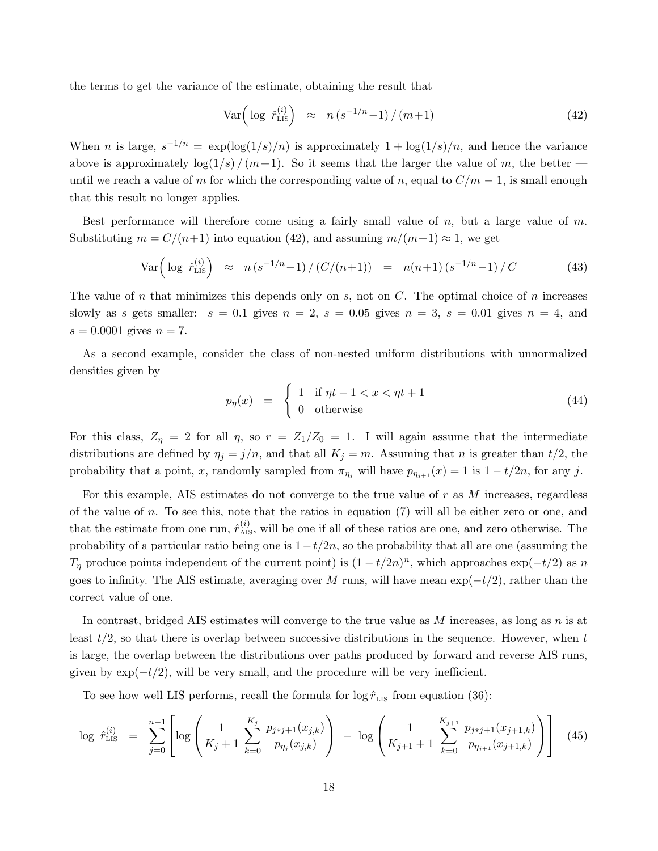the terms to get the variance of the estimate, obtaining the result that

$$
\text{Var}\left(\log \hat{r}_{\text{LIS}}^{(i)}\right) \approx n\left(s^{-1/n} - 1\right) / (m+1) \tag{42}
$$

When *n* is large,  $s^{-1/n} = \exp(\log(1/s)/n)$  is approximately  $1 + \log(1/s)/n$ , and hence the variance above is approximately  $\log(1/s)/(m+1)$ . So it seems that the larger the value of m, the better until we reach a value of m for which the corresponding value of n, equal to  $C/m - 1$ , is small enough that this result no longer applies.

Best performance will therefore come using a fairly small value of  $n$ , but a large value of  $m$ . Substituting  $m = C/(n+1)$  into equation (42), and assuming  $m/(m+1) \approx 1$ , we get

$$
\text{Var}\Big(\log \hat{r}_{\text{LIS}}^{(i)}\Big) \approx n\left(s^{-1/n} - 1\right) / \left(\frac{C}{n+1}\right) = n(n+1)\left(s^{-1/n} - 1\right) / C \tag{43}
$$

The value of n that minimizes this depends only on s, not on  $C$ . The optimal choice of n increases slowly as s gets smaller:  $s = 0.1$  gives  $n = 2$ ,  $s = 0.05$  gives  $n = 3$ ,  $s = 0.01$  gives  $n = 4$ , and  $s = 0.0001$  gives  $n = 7$ .

As a second example, consider the class of non-nested uniform distributions with unnormalized densities given by

$$
p_{\eta}(x) = \begin{cases} 1 & \text{if } \eta t - 1 < x < \eta t + 1 \\ 0 & \text{otherwise} \end{cases} \tag{44}
$$

For this class,  $Z_{\eta} = 2$  for all  $\eta$ , so  $r = Z_1/Z_0 = 1$ . I will again assume that the intermediate distributions are defined by  $\eta_j = j/n$ , and that all  $K_j = m$ . Assuming that n is greater than  $t/2$ , the probability that a point, x, randomly sampled from  $\pi_{\eta_j}$  will have  $p_{\eta_{j+1}}(x) = 1$  is  $1 - t/2n$ , for any j.

For this example, AIS estimates do not converge to the true value of  $r$  as  $M$  increases, regardless of the value of n. To see this, note that the ratios in equation  $(7)$  will all be either zero or one, and that the estimate from one run,  $\hat{r}_{\text{AIS}}^{(i)}$ , will be one if all of these ratios are one, and zero otherwise. The probability of a particular ratio being one is  $1-t/2n$ , so the probability that all are one (assuming the  $T_{\eta}$  produce points independent of the current point) is  $(1 - t/2n)^n$ , which approaches  $\exp(-t/2)$  as n goes to infinity. The AIS estimate, averaging over M runs, will have mean  $\exp(-t/2)$ , rather than the correct value of one.

In contrast, bridged AIS estimates will converge to the true value as  $M$  increases, as long as  $n$  is at least  $t/2$ , so that there is overlap between successive distributions in the sequence. However, when t is large, the overlap between the distributions over paths produced by forward and reverse AIS runs, given by  $\exp(-t/2)$ , will be very small, and the procedure will be very inefficient.

To see how well LIS performs, recall the formula for  $\log \hat{r}_{\text{LIS}}$  from equation (36):

$$
\log \hat{r}_{\text{LIS}}^{(i)} = \sum_{j=0}^{n-1} \left[ \log \left( \frac{1}{K_j + 1} \sum_{k=0}^{K_j} \frac{p_{j+j+1}(x_{j,k})}{p_{\eta_j}(x_{j,k})} \right) - \log \left( \frac{1}{K_{j+1} + 1} \sum_{k=0}^{K_{j+1}} \frac{p_{j+j+1}(x_{j+1,k})}{p_{\eta_{j+1}}(x_{j+1,k})} \right) \right] \tag{45}
$$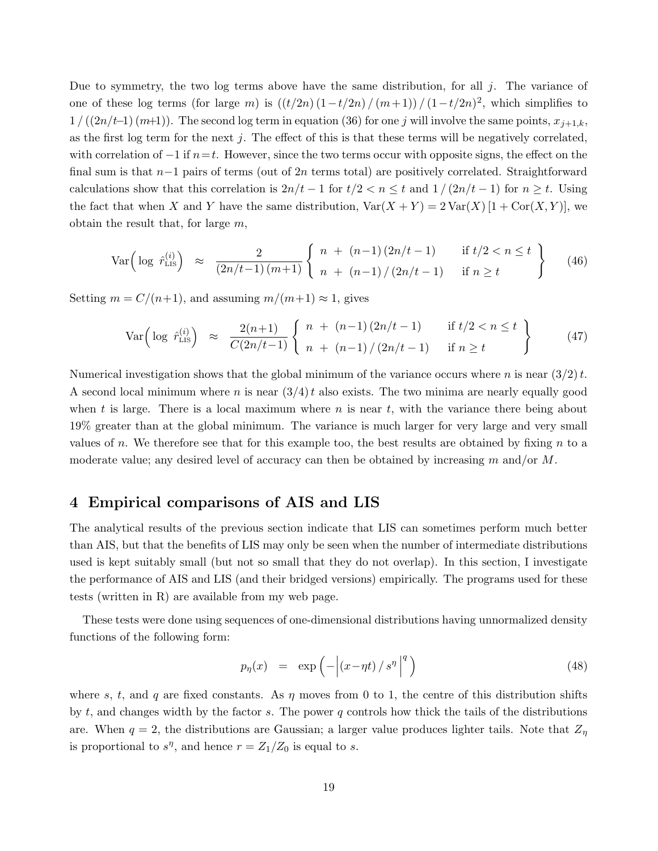Due to symmetry, the two log terms above have the same distribution, for all  $j$ . The variance of one of these log terms (for large m) is  $((t/2n)(1-t/2n)/(m+1))/(1-t/2n)^2$ , which simplifies to  $1 / ((2n/t-1)(m+1))$ . The second log term in equation (36) for one j will involve the same points,  $x_{j+1,k}$ , as the first log term for the next j. The effect of this is that these terms will be negatively correlated, with correlation of  $-1$  if  $n=t$ . However, since the two terms occur with opposite signs, the effect on the final sum is that  $n-1$  pairs of terms (out of 2n terms total) are positively correlated. Straightforward calculations show that this correlation is  $2n/t - 1$  for  $t/2 < n \leq t$  and  $1/(2n/t - 1)$  for  $n \geq t$ . Using the fact that when X and Y have the same distribution,  $Var(X + Y) = 2Var(X)[1 + Cor(X, Y)],$  we obtain the result that, for large  $m$ ,

$$
\text{Var}\Big(\log \ \hat{r}_{\text{LIS}}^{(i)}\Big) \ \approx \ \frac{2}{(2n/t-1)(m+1)} \left\{ \begin{array}{ll} n + (n-1)\,(2n/t-1) & \text{if } t/2 < n \le t \\ n + (n-1)\,/\,(2n/t-1) & \text{if } n \ge t \end{array} \right\} \tag{46}
$$

Setting  $m = C/(n+1)$ , and assuming  $m/(m+1) \approx 1$ , gives

$$
\text{Var}\Big(\log \ \hat{r}_{\text{LIS}}^{(i)}\Big) \ \approx \ \frac{2(n+1)}{C(2n/t-1)} \left\{ \begin{array}{ll} n + (n-1)\,(2n/t-1) & \text{if } t/2 < n \le t \\ n + (n-1)\,/\,(2n/t-1) & \text{if } n \ge t \end{array} \right\} \tag{47}
$$

Numerical investigation shows that the global minimum of the variance occurs where n is near  $(3/2) t$ . A second local minimum where n is near  $(3/4)$  also exists. The two minima are nearly equally good when t is large. There is a local maximum where n is near t, with the variance there being about 19% greater than at the global minimum. The variance is much larger for very large and very small values of n. We therefore see that for this example too, the best results are obtained by fixing  $n$  to a moderate value; any desired level of accuracy can then be obtained by increasing m and/or  $M$ .

### 4 Empirical comparisons of AIS and LIS

The analytical results of the previous section indicate that LIS can sometimes perform much better than AIS, but that the benefits of LIS may only be seen when the number of intermediate distributions used is kept suitably small (but not so small that they do not overlap). In this section, I investigate the performance of AIS and LIS (and their bridged versions) empirically. The programs used for these tests (written in R) are available from my web page.

These tests were done using sequences of one-dimensional distributions having unnormalized density functions of the following form:

$$
p_{\eta}(x) = \exp\left(-\left|\left(x-\eta t\right)/s^{\eta}\right|^q\right) \tag{48}
$$

where s, t, and q are fixed constants. As  $\eta$  moves from 0 to 1, the centre of this distribution shifts by  $t$ , and changes width by the factor  $s$ . The power  $q$  controls how thick the tails of the distributions are. When  $q = 2$ , the distributions are Gaussian; a larger value produces lighter tails. Note that  $Z_{\eta}$ is proportional to  $s^{\eta}$ , and hence  $r = Z_1/Z_0$  is equal to s.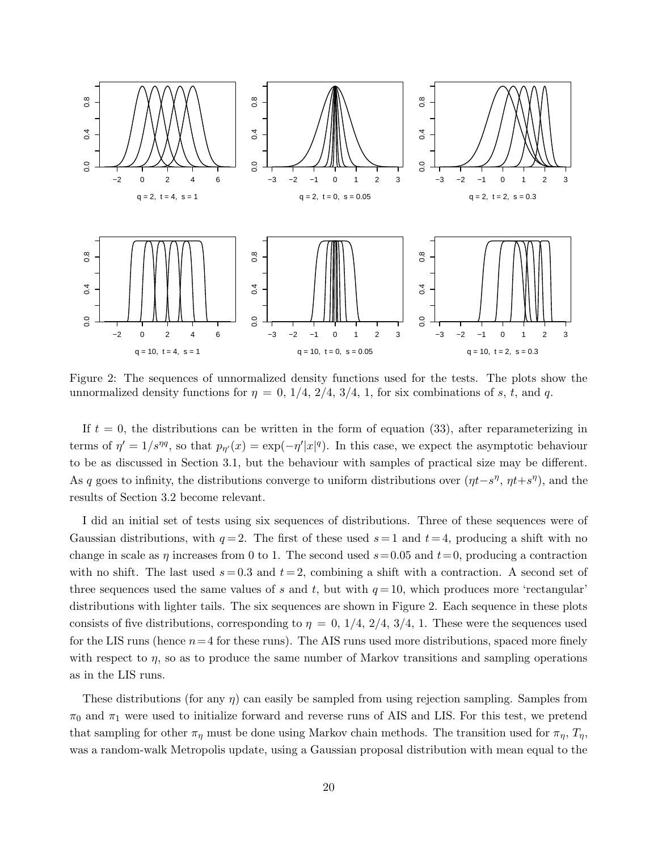

Figure 2: The sequences of unnormalized density functions used for the tests. The plots show the unnormalized density functions for  $\eta = 0, 1/4, 2/4, 3/4, 1$ , for six combinations of s, t, and q.

If  $t = 0$ , the distributions can be written in the form of equation (33), after reparameterizing in terms of  $\eta' = 1/s^{\eta q}$ , so that  $p_{\eta'}(x) = \exp(-\eta' |x|^q)$ . In this case, we expect the asymptotic behaviour to be as discussed in Section 3.1, but the behaviour with samples of practical size may be different. As q goes to infinity, the distributions converge to uniform distributions over  $(\eta t - s^{\eta}, \eta t + s^{\eta})$ , and the results of Section 3.2 become relevant.

I did an initial set of tests using six sequences of distributions. Three of these sequences were of Gaussian distributions, with  $q=2$ . The first of these used  $s=1$  and  $t=4$ , producing a shift with no change in scale as  $\eta$  increases from 0 to 1. The second used  $s=0.05$  and  $t=0$ , producing a contraction with no shift. The last used  $s = 0.3$  and  $t = 2$ , combining a shift with a contraction. A second set of three sequences used the same values of s and t, but with  $q = 10$ , which produces more 'rectangular' distributions with lighter tails. The six sequences are shown in Figure 2. Each sequence in these plots consists of five distributions, corresponding to  $\eta = 0, 1/4, 2/4, 3/4, 1$ . These were the sequences used for the LIS runs (hence  $n=4$  for these runs). The AIS runs used more distributions, spaced more finely with respect to  $\eta$ , so as to produce the same number of Markov transitions and sampling operations as in the LIS runs.

These distributions (for any  $\eta$ ) can easily be sampled from using rejection sampling. Samples from  $\pi_0$  and  $\pi_1$  were used to initialize forward and reverse runs of AIS and LIS. For this test, we pretend that sampling for other  $\pi_n$  must be done using Markov chain methods. The transition used for  $\pi_n$ ,  $T_n$ , was a random-walk Metropolis update, using a Gaussian proposal distribution with mean equal to the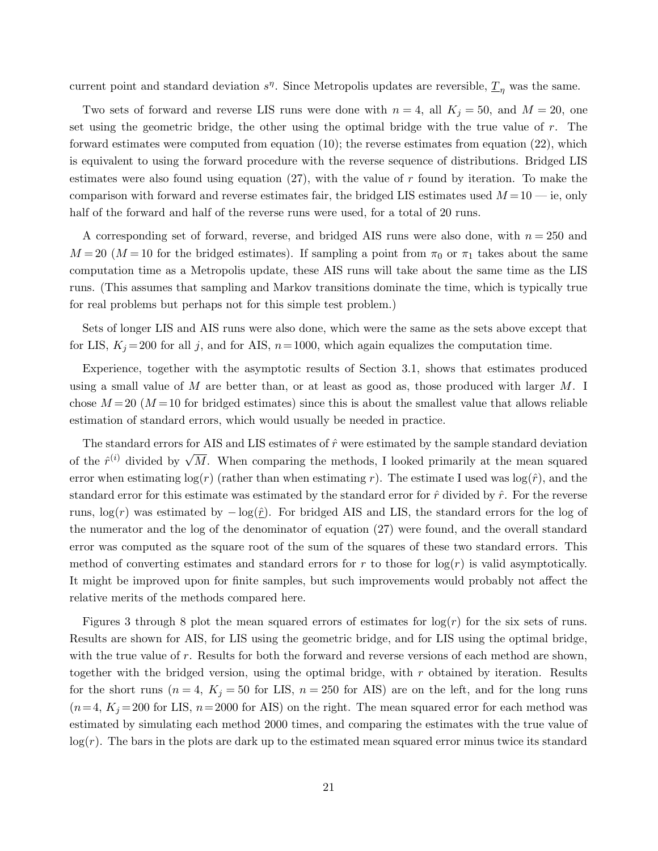current point and standard deviation  $s^{\eta}$ . Since Metropolis updates are reversible,  $\underline{T}_{\eta}$  was the same.

Two sets of forward and reverse LIS runs were done with  $n = 4$ , all  $K_j = 50$ , and  $M = 20$ , one set using the geometric bridge, the other using the optimal bridge with the true value of r. The forward estimates were computed from equation (10); the reverse estimates from equation (22), which is equivalent to using the forward procedure with the reverse sequence of distributions. Bridged LIS estimates were also found using equation  $(27)$ , with the value of r found by iteration. To make the comparison with forward and reverse estimates fair, the bridged LIS estimates used  $M = 10$  — ie, only half of the forward and half of the reverse runs were used, for a total of 20 runs.

A corresponding set of forward, reverse, and bridged AIS runs were also done, with  $n = 250$  and  $M = 20$  ( $M = 10$  for the bridged estimates). If sampling a point from  $\pi_0$  or  $\pi_1$  takes about the same computation time as a Metropolis update, these AIS runs will take about the same time as the LIS runs. (This assumes that sampling and Markov transitions dominate the time, which is typically true for real problems but perhaps not for this simple test problem.)

Sets of longer LIS and AIS runs were also done, which were the same as the sets above except that for LIS,  $K_j = 200$  for all j, and for AIS,  $n = 1000$ , which again equalizes the computation time.

Experience, together with the asymptotic results of Section 3.1, shows that estimates produced using a small value of  $M$  are better than, or at least as good as, those produced with larger  $M$ . I chose  $M = 20$  ( $M = 10$  for bridged estimates) since this is about the smallest value that allows reliable estimation of standard errors, which would usually be needed in practice.

The standard errors for AIS and LIS estimates of  $\hat{r}$  were estimated by the sample standard deviation of the  $\hat{r}^{(i)}$  divided by  $\sqrt{M}$ . When comparing the methods, I looked primarily at the mean squared error when estimating  $log(r)$  (rather than when estimating r). The estimate I used was  $log(\hat{r})$ , and the standard error for this estimate was estimated by the standard error for  $\hat{r}$  divided by  $\hat{r}$ . For the reverse runs,  $log(r)$  was estimated by  $log(r)$ . For bridged AIS and LIS, the standard errors for the log of the numerator and the log of the denominator of equation (27) were found, and the overall standard error was computed as the square root of the sum of the squares of these two standard errors. This method of converting estimates and standard errors for r to those for  $log(r)$  is valid asymptotically. It might be improved upon for finite samples, but such improvements would probably not affect the relative merits of the methods compared here.

Figures 3 through 8 plot the mean squared errors of estimates for  $log(r)$  for the six sets of runs. Results are shown for AIS, for LIS using the geometric bridge, and for LIS using the optimal bridge, with the true value of  $r$ . Results for both the forward and reverse versions of each method are shown, together with the bridged version, using the optimal bridge, with  $r$  obtained by iteration. Results for the short runs ( $n = 4$ ,  $K_j = 50$  for LIS,  $n = 250$  for AIS) are on the left, and for the long runs  $(n=4, K<sub>j</sub>=200$  for LIS,  $n=2000$  for AIS) on the right. The mean squared error for each method was estimated by simulating each method 2000 times, and comparing the estimates with the true value of  $log(r)$ . The bars in the plots are dark up to the estimated mean squared error minus twice its standard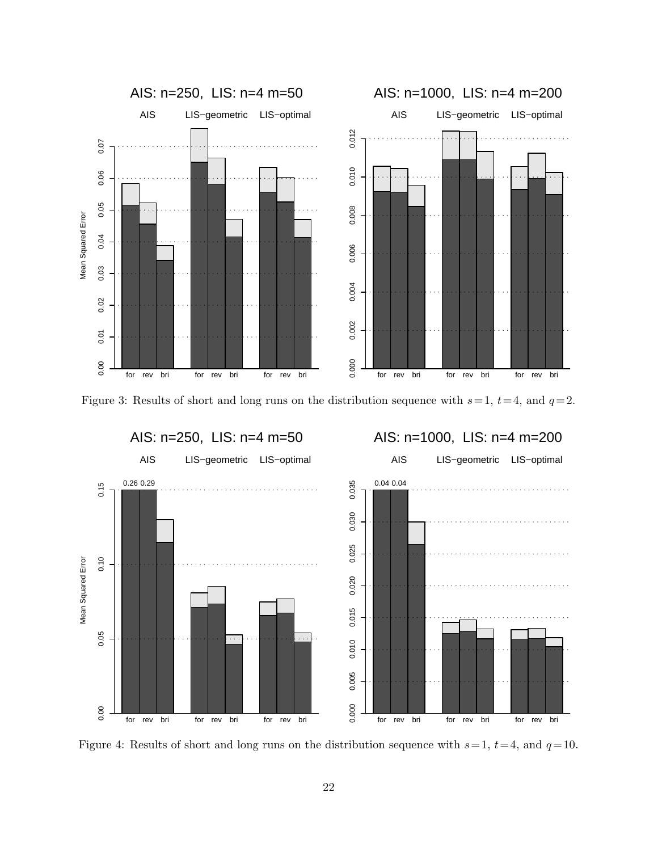

Figure 3: Results of short and long runs on the distribution sequence with  $s=1$ ,  $t=4$ , and  $q=2$ .



Figure 4: Results of short and long runs on the distribution sequence with  $s=1$ ,  $t=4$ , and  $q=10$ .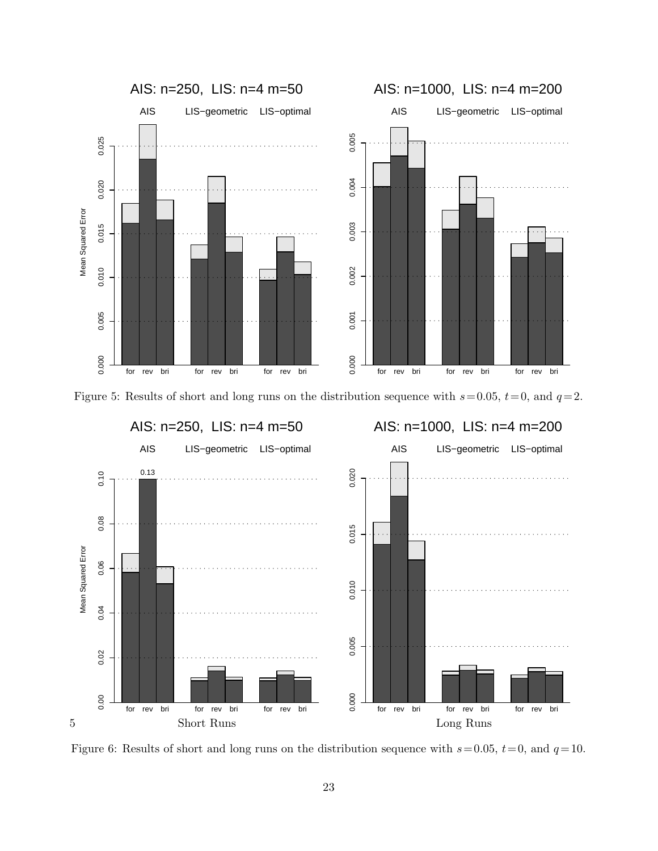





Figure 6: Results of short and long runs on the distribution sequence with  $s=0.05$ ,  $t=0$ , and  $q=10$ .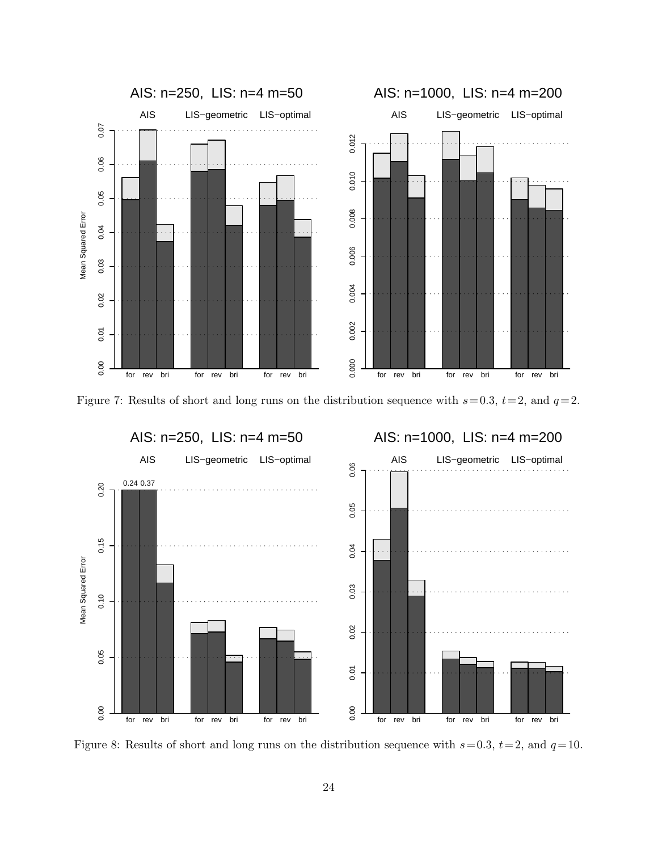

Figure 7: Results of short and long runs on the distribution sequence with  $s=0.3$ ,  $t=2$ , and  $q=2$ .



Figure 8: Results of short and long runs on the distribution sequence with  $s=0.3$ ,  $t=2$ , and  $q=10$ .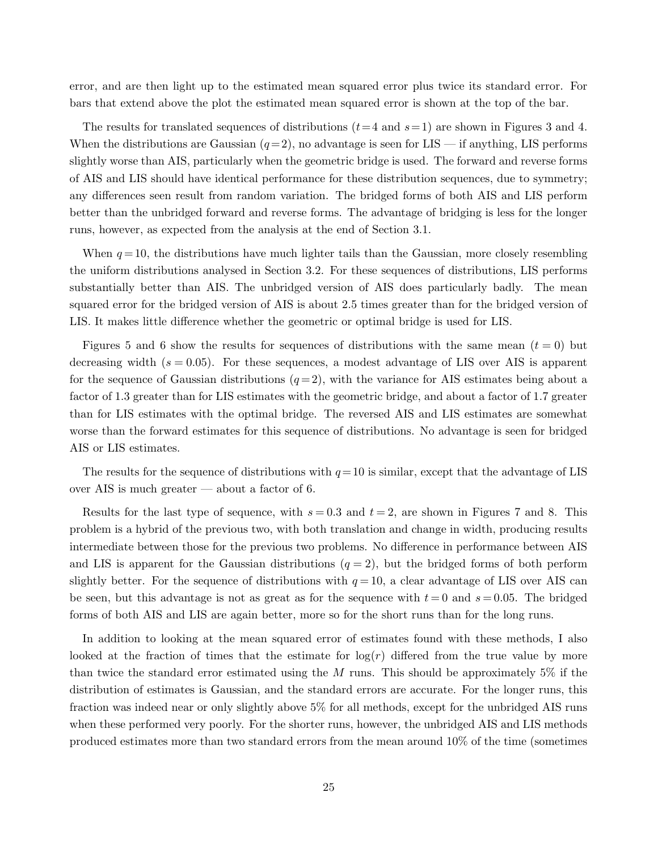error, and are then light up to the estimated mean squared error plus twice its standard error. For bars that extend above the plot the estimated mean squared error is shown at the top of the bar.

The results for translated sequences of distributions  $(t=4 \text{ and } s=1)$  are shown in Figures 3 and 4. When the distributions are Gaussian  $(q=2)$ , no advantage is seen for LIS — if anything, LIS performs slightly worse than AIS, particularly when the geometric bridge is used. The forward and reverse forms of AIS and LIS should have identical performance for these distribution sequences, due to symmetry; any differences seen result from random variation. The bridged forms of both AIS and LIS perform better than the unbridged forward and reverse forms. The advantage of bridging is less for the longer runs, however, as expected from the analysis at the end of Section 3.1.

When  $q = 10$ , the distributions have much lighter tails than the Gaussian, more closely resembling the uniform distributions analysed in Section 3.2. For these sequences of distributions, LIS performs substantially better than AIS. The unbridged version of AIS does particularly badly. The mean squared error for the bridged version of AIS is about 2.5 times greater than for the bridged version of LIS. It makes little difference whether the geometric or optimal bridge is used for LIS.

Figures 5 and 6 show the results for sequences of distributions with the same mean  $(t = 0)$  but decreasing width  $(s = 0.05)$ . For these sequences, a modest advantage of LIS over AIS is apparent for the sequence of Gaussian distributions  $(q=2)$ , with the variance for AIS estimates being about a factor of 1.3 greater than for LIS estimates with the geometric bridge, and about a factor of 1.7 greater than for LIS estimates with the optimal bridge. The reversed AIS and LIS estimates are somewhat worse than the forward estimates for this sequence of distributions. No advantage is seen for bridged AIS or LIS estimates.

The results for the sequence of distributions with  $q=10$  is similar, except that the advantage of LIS over AIS is much greater — about a factor of 6.

Results for the last type of sequence, with  $s = 0.3$  and  $t = 2$ , are shown in Figures 7 and 8. This problem is a hybrid of the previous two, with both translation and change in width, producing results intermediate between those for the previous two problems. No difference in performance between AIS and LIS is apparent for the Gaussian distributions  $(q = 2)$ , but the bridged forms of both perform slightly better. For the sequence of distributions with  $q = 10$ , a clear advantage of LIS over AIS can be seen, but this advantage is not as great as for the sequence with  $t = 0$  and  $s = 0.05$ . The bridged forms of both AIS and LIS are again better, more so for the short runs than for the long runs.

In addition to looking at the mean squared error of estimates found with these methods, I also looked at the fraction of times that the estimate for  $log(r)$  differed from the true value by more than twice the standard error estimated using the  $M$  runs. This should be approximately 5% if the distribution of estimates is Gaussian, and the standard errors are accurate. For the longer runs, this fraction was indeed near or only slightly above 5% for all methods, except for the unbridged AIS runs when these performed very poorly. For the shorter runs, however, the unbridged AIS and LIS methods produced estimates more than two standard errors from the mean around 10% of the time (sometimes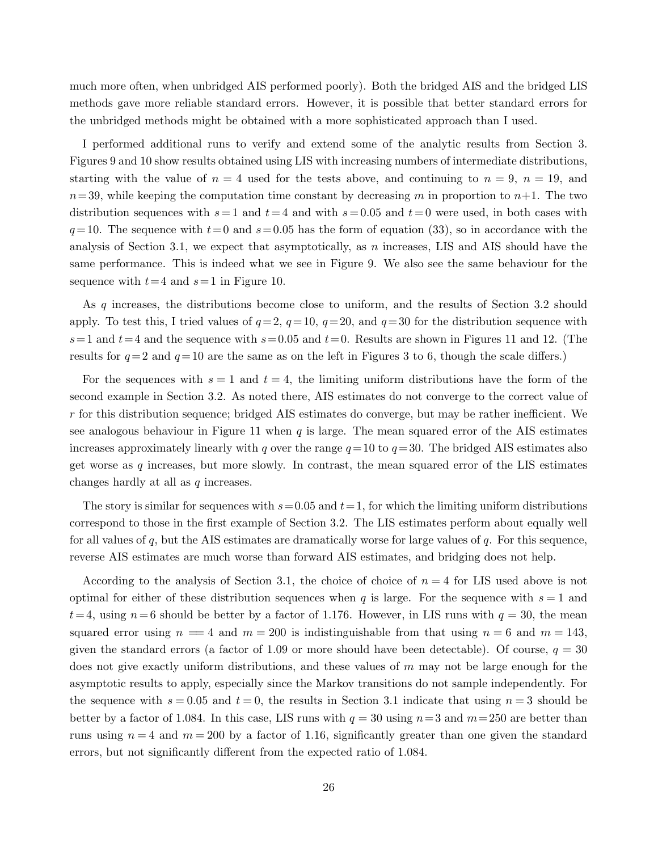much more often, when unbridged AIS performed poorly). Both the bridged AIS and the bridged LIS methods gave more reliable standard errors. However, it is possible that better standard errors for the unbridged methods might be obtained with a more sophisticated approach than I used.

I performed additional runs to verify and extend some of the analytic results from Section 3. Figures 9 and 10 show results obtained using LIS with increasing numbers of intermediate distributions, starting with the value of  $n = 4$  used for the tests above, and continuing to  $n = 9$ ,  $n = 19$ , and  $n=39$ , while keeping the computation time constant by decreasing m in proportion to  $n+1$ . The two distribution sequences with  $s=1$  and  $t=4$  and with  $s=0.05$  and  $t=0$  were used, in both cases with  $q=10$ . The sequence with  $t=0$  and  $s=0.05$  has the form of equation (33), so in accordance with the analysis of Section 3.1, we expect that asymptotically, as  $n$  increases, LIS and AIS should have the same performance. This is indeed what we see in Figure 9. We also see the same behaviour for the sequence with  $t=4$  and  $s=1$  in Figure 10.

As q increases, the distributions become close to uniform, and the results of Section 3.2 should apply. To test this, I tried values of  $q=2$ ,  $q=10$ ,  $q=20$ , and  $q=30$  for the distribution sequence with  $s=1$  and  $t=4$  and the sequence with  $s=0.05$  and  $t=0$ . Results are shown in Figures 11 and 12. (The results for  $q=2$  and  $q=10$  are the same as on the left in Figures 3 to 6, though the scale differs.)

For the sequences with  $s = 1$  and  $t = 4$ , the limiting uniform distributions have the form of the second example in Section 3.2. As noted there, AIS estimates do not converge to the correct value of  $r$  for this distribution sequence; bridged AIS estimates do converge, but may be rather inefficient. We see analogous behaviour in Figure 11 when  $q$  is large. The mean squared error of the AIS estimates increases approximately linearly with q over the range  $q=10$  to  $q=30$ . The bridged AIS estimates also get worse as  $q$  increases, but more slowly. In contrast, the mean squared error of the LIS estimates changes hardly at all as q increases.

The story is similar for sequences with  $s=0.05$  and  $t=1$ , for which the limiting uniform distributions correspond to those in the first example of Section 3.2. The LIS estimates perform about equally well for all values of q, but the AIS estimates are dramatically worse for large values of  $q$ . For this sequence, reverse AIS estimates are much worse than forward AIS estimates, and bridging does not help.

According to the analysis of Section 3.1, the choice of choice of  $n = 4$  for LIS used above is not optimal for either of these distribution sequences when q is large. For the sequence with  $s = 1$  and  $t=4$ , using  $n=6$  should be better by a factor of 1.176. However, in LIS runs with  $q = 30$ , the mean squared error using  $n = 4$  and  $m = 200$  is indistinguishable from that using  $n = 6$  and  $m = 143$ , given the standard errors (a factor of 1.09 or more should have been detectable). Of course,  $q = 30$ does not give exactly uniform distributions, and these values of  $m$  may not be large enough for the asymptotic results to apply, especially since the Markov transitions do not sample independently. For the sequence with  $s = 0.05$  and  $t = 0$ , the results in Section 3.1 indicate that using  $n = 3$  should be better by a factor of 1.084. In this case, LIS runs with  $q = 30$  using  $n=3$  and  $m=250$  are better than runs using  $n = 4$  and  $m = 200$  by a factor of 1.16, significantly greater than one given the standard errors, but not significantly different from the expected ratio of 1.084.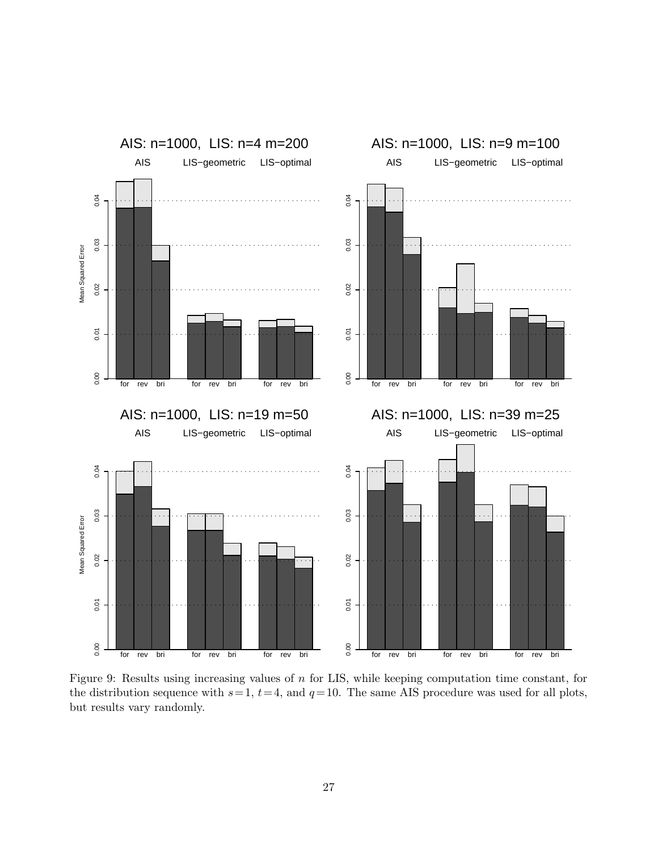

Figure 9: Results using increasing values of  $n$  for LIS, while keeping computation time constant, for the distribution sequence with  $s=1$ ,  $t=4$ , and  $q=10$ . The same AIS procedure was used for all plots, but results vary randomly.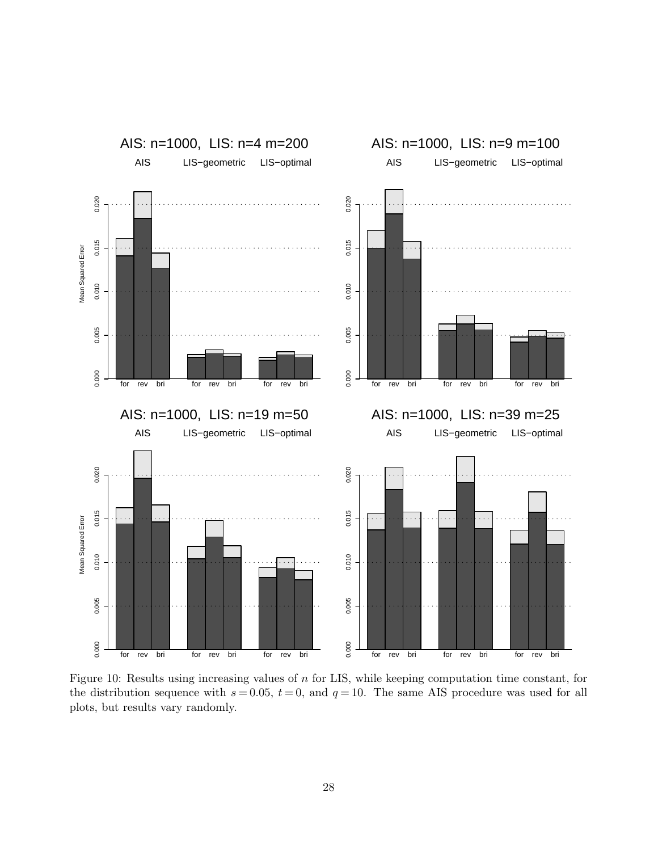

Figure 10: Results using increasing values of  $n$  for LIS, while keeping computation time constant, for the distribution sequence with  $s = 0.05$ ,  $t = 0$ , and  $q = 10$ . The same AIS procedure was used for all plots, but results vary randomly.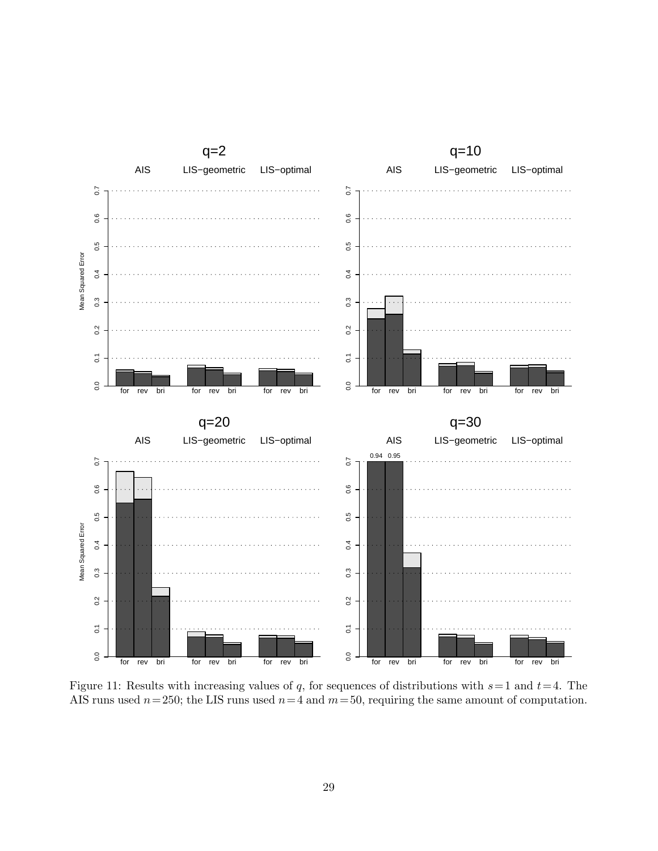

Figure 11: Results with increasing values of q, for sequences of distributions with  $s=1$  and  $t=4$ . The AIS runs used  $n=250$ ; the LIS runs used  $n=4$  and  $m=50$ , requiring the same amount of computation.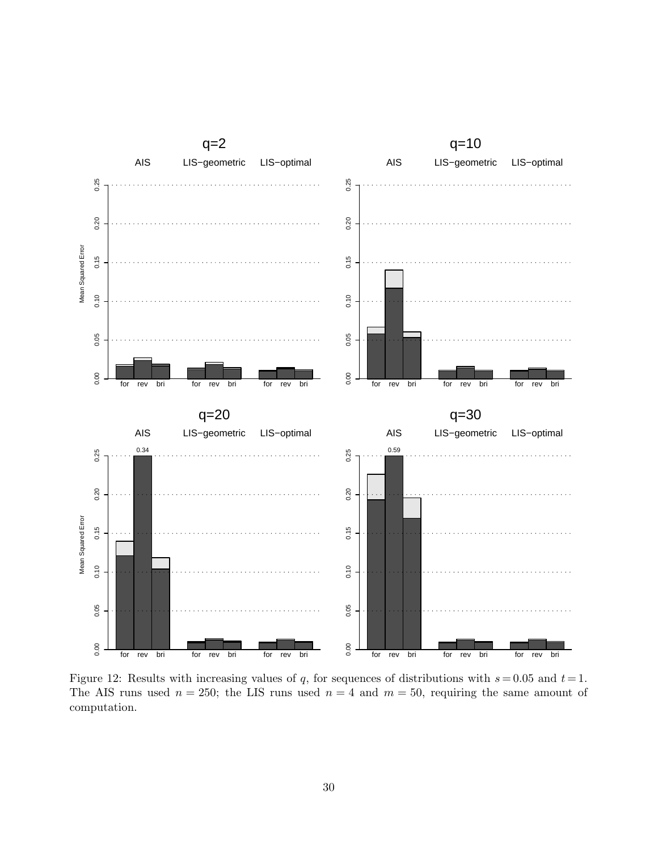

Figure 12: Results with increasing values of q, for sequences of distributions with  $s = 0.05$  and  $t = 1$ . The AIS runs used  $n = 250$ ; the LIS runs used  $n = 4$  and  $m = 50$ , requiring the same amount of computation.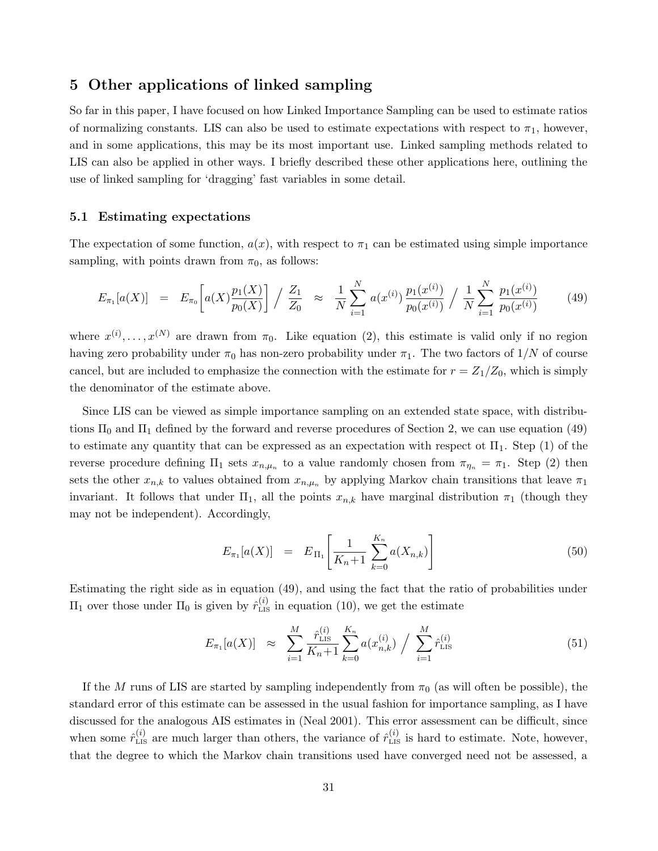### 5 Other applications of linked sampling

So far in this paper, I have focused on how Linked Importance Sampling can be used to estimate ratios of normalizing constants. LIS can also be used to estimate expectations with respect to  $\pi_1$ , however, and in some applications, this may be its most important use. Linked sampling methods related to LIS can also be applied in other ways. I briefly described these other applications here, outlining the use of linked sampling for 'dragging' fast variables in some detail.

### 5.1 Estimating expectations

The expectation of some function,  $a(x)$ , with respect to  $\pi_1$  can be estimated using simple importance sampling, with points drawn from  $\pi_0$ , as follows:

$$
E_{\pi_1}[a(X)] = E_{\pi_0}\left[a(X)\frac{p_1(X)}{p_0(X)}\right] / \frac{Z_1}{Z_0} \approx \frac{1}{N} \sum_{i=1}^N a(x^{(i)}) \frac{p_1(x^{(i)})}{p_0(x^{(i)})} / \frac{1}{N} \sum_{i=1}^N \frac{p_1(x^{(i)})}{p_0(x^{(i)})} \tag{49}
$$

where  $x^{(i)}, \ldots, x^{(N)}$  are drawn from  $\pi_0$ . Like equation (2), this estimate is valid only if no region having zero probability under  $\pi_0$  has non-zero probability under  $\pi_1$ . The two factors of  $1/N$  of course cancel, but are included to emphasize the connection with the estimate for  $r = Z_1/Z_0$ , which is simply the denominator of the estimate above.

Since LIS can be viewed as simple importance sampling on an extended state space, with distributions  $\Pi_0$  and  $\Pi_1$  defined by the forward and reverse procedures of Section 2, we can use equation (49) to estimate any quantity that can be expressed as an expectation with respect ot  $\Pi_1$ . Step (1) of the reverse procedure defining  $\Pi_1$  sets  $x_{n,\mu_n}$  to a value randomly chosen from  $\pi_{\eta_n} = \pi_1$ . Step (2) then sets the other  $x_{n,k}$  to values obtained from  $x_{n,\mu_n}$  by applying Markov chain transitions that leave  $\pi_1$ invariant. It follows that under  $\Pi_1$ , all the points  $x_{n,k}$  have marginal distribution  $\pi_1$  (though they may not be independent). Accordingly,

$$
E_{\pi_1}[a(X)] = E_{\Pi_1}\left[\frac{1}{K_n+1}\sum_{k=0}^{K_n} a(X_{n,k})\right]
$$
\n(50)

Estimating the right side as in equation (49), and using the fact that the ratio of probabilities under  $\Pi_1$  over those under  $\Pi_0$  is given by  $\hat{r}_{\text{LIS}}^{(i)}$  in equation (10), we get the estimate

$$
E_{\pi_1}[a(X)] \approx \sum_{i=1}^{M} \frac{\hat{r}_{\text{LIS}}^{(i)}}{K_n+1} \sum_{k=0}^{K_n} a(x_{n,k}^{(i)}) / \sum_{i=1}^{M} \hat{r}_{\text{LIS}}^{(i)}
$$
(51)

If the M runs of LIS are started by sampling independently from  $\pi_0$  (as will often be possible), the standard error of this estimate can be assessed in the usual fashion for importance sampling, as I have discussed for the analogous AIS estimates in (Neal 2001). This error assessment can be difficult, since when some  $\hat{r}_{\text{LIS}}^{(i)}$  are much larger than others, the variance of  $\hat{r}_{\text{LIS}}^{(i)}$  is hard to estimate. Note, however, that the degree to which the Markov chain transitions used have converged need not be assessed, a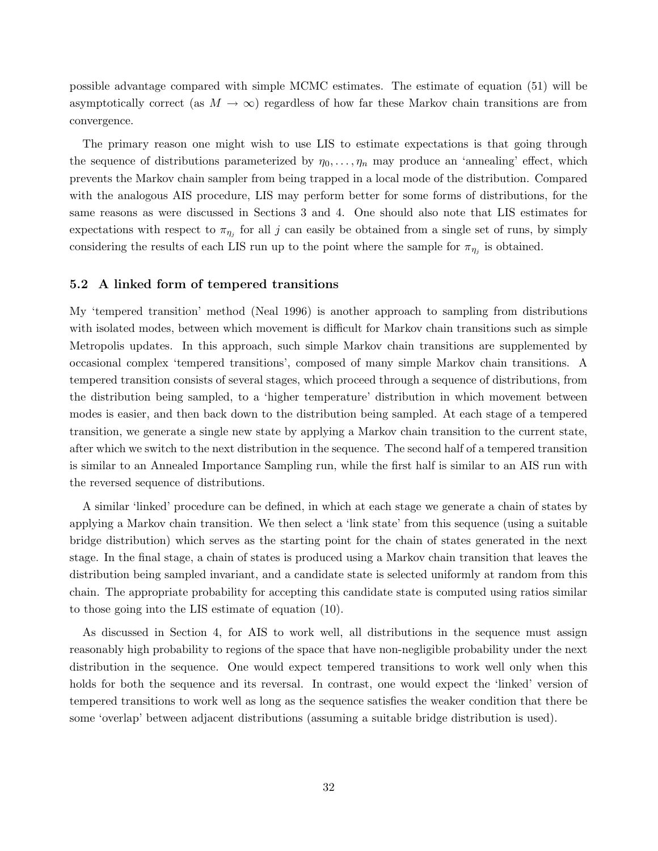possible advantage compared with simple MCMC estimates. The estimate of equation (51) will be asymptotically correct (as  $M \to \infty$ ) regardless of how far these Markov chain transitions are from convergence.

The primary reason one might wish to use LIS to estimate expectations is that going through the sequence of distributions parameterized by  $\eta_0, \ldots, \eta_n$  may produce an 'annealing' effect, which prevents the Markov chain sampler from being trapped in a local mode of the distribution. Compared with the analogous AIS procedure, LIS may perform better for some forms of distributions, for the same reasons as were discussed in Sections 3 and 4. One should also note that LIS estimates for expectations with respect to  $\pi_{\eta_j}$  for all j can easily be obtained from a single set of runs, by simply considering the results of each LIS run up to the point where the sample for  $\pi_{\eta_j}$  is obtained.

#### 5.2 A linked form of tempered transitions

My 'tempered transition' method (Neal 1996) is another approach to sampling from distributions with isolated modes, between which movement is difficult for Markov chain transitions such as simple Metropolis updates. In this approach, such simple Markov chain transitions are supplemented by occasional complex 'tempered transitions', composed of many simple Markov chain transitions. A tempered transition consists of several stages, which proceed through a sequence of distributions, from the distribution being sampled, to a 'higher temperature' distribution in which movement between modes is easier, and then back down to the distribution being sampled. At each stage of a tempered transition, we generate a single new state by applying a Markov chain transition to the current state, after which we switch to the next distribution in the sequence. The second half of a tempered transition is similar to an Annealed Importance Sampling run, while the first half is similar to an AIS run with the reversed sequence of distributions.

A similar 'linked' procedure can be defined, in which at each stage we generate a chain of states by applying a Markov chain transition. We then select a 'link state' from this sequence (using a suitable bridge distribution) which serves as the starting point for the chain of states generated in the next stage. In the final stage, a chain of states is produced using a Markov chain transition that leaves the distribution being sampled invariant, and a candidate state is selected uniformly at random from this chain. The appropriate probability for accepting this candidate state is computed using ratios similar to those going into the LIS estimate of equation (10).

As discussed in Section 4, for AIS to work well, all distributions in the sequence must assign reasonably high probability to regions of the space that have non-negligible probability under the next distribution in the sequence. One would expect tempered transitions to work well only when this holds for both the sequence and its reversal. In contrast, one would expect the 'linked' version of tempered transitions to work well as long as the sequence satisfies the weaker condition that there be some 'overlap' between adjacent distributions (assuming a suitable bridge distribution is used).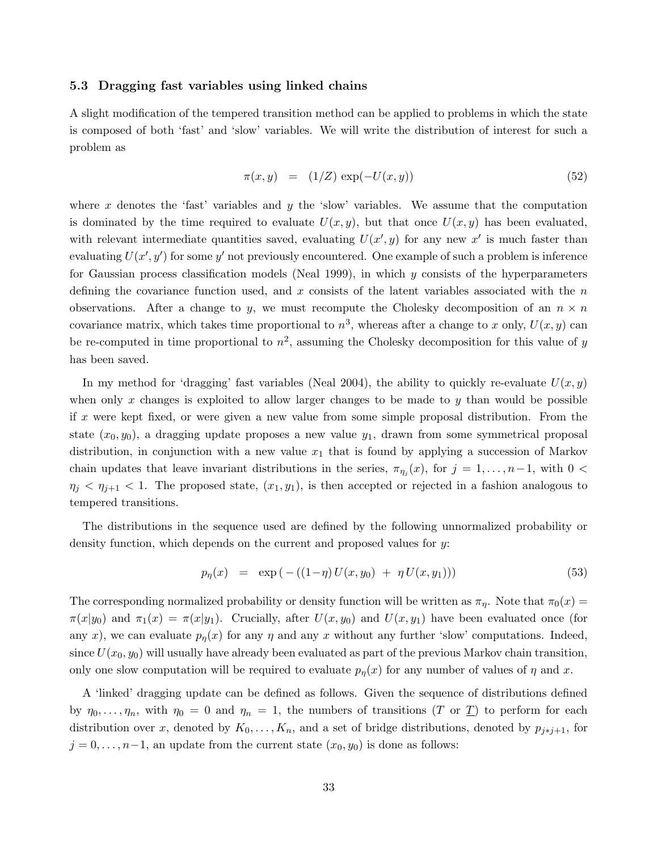#### 5.3 Dragging fast variables using linked chains

A slight modification of the tempered transition method can be applied to problems in which the state is composed of both 'fast' and 'slow' variables. We will write the distribution of interest for such a problem as

$$
\pi(x, y) = (1/Z) \exp(-U(x, y)) \tag{52}
$$

where x denotes the 'fast' variables and y the 'slow' variables. We assume that the computation is dominated by the time required to evaluate  $U(x, y)$ , but that once  $U(x, y)$  has been evaluated, with relevant intermediate quantities saved, evaluating  $U(x', y)$  for any new x' is much faster than evaluating  $U(x', y')$  for some y' not previously encountered. One example of such a problem is inference for Gaussian process classification models (Neal 1999), in which  $y$  consists of the hyperparameters defining the covariance function used, and x consists of the latent variables associated with the  $n$ observations. After a change to y, we must recompute the Cholesky decomposition of an  $n \times n$ covariance matrix, which takes time proportional to  $n^3$ , whereas after a change to x only,  $U(x, y)$  can be re-computed in time proportional to  $n^2$ , assuming the Cholesky decomposition for this value of y has been saved.

In my method for 'dragging' fast variables (Neal 2004), the ability to quickly re-evaluate  $U(x, y)$ when only x changes is exploited to allow larger changes to be made to y than would be possible if x were kept fixed, or were given a new value from some simple proposal distribution. From the state  $(x_0, y_0)$ , a dragging update proposes a new value  $y_1$ , drawn from some symmetrical proposal distribution, in conjunction with a new value  $x_1$  that is found by applying a succession of Markov chain updates that leave invariant distributions in the series,  $\pi_{\eta_j}(x)$ , for  $j = 1, \ldots, n-1$ , with  $0 <$  $\eta_j < \eta_{j+1} < 1$ . The proposed state,  $(x_1, y_1)$ , is then accepted or rejected in a fashion analogous to tempered transitions.

The distributions in the sequence used are defined by the following unnormalized probability or density function, which depends on the current and proposed values for y:

$$
p_{\eta}(x) = \exp(-(1-\eta)U(x,y_0) + \eta U(x,y_1))) \tag{53}
$$

The corresponding normalized probability or density function will be written as  $\pi_{\eta}$ . Note that  $\pi_0(x)$  =  $\pi(x|y_0)$  and  $\pi_1(x) = \pi(x|y_1)$ . Crucially, after  $U(x, y_0)$  and  $U(x, y_1)$  have been evaluated once (for any x), we can evaluate  $p_n(x)$  for any  $\eta$  and any x without any further 'slow' computations. Indeed, since  $U(x_0, y_0)$  will usually have already been evaluated as part of the previous Markov chain transition, only one slow computation will be required to evaluate  $p_n(x)$  for any number of values of  $\eta$  and x.

A 'linked' dragging update can be defined as follows. Given the sequence of distributions defined by  $\eta_0, \ldots, \eta_n$ , with  $\eta_0 = 0$  and  $\eta_n = 1$ , the numbers of transitions (T or <u>T</u>) to perform for each distribution over x, denoted by  $K_0, \ldots, K_n$ , and a set of bridge distributions, denoted by  $p_{j \ast j+1}$ , for  $j = 0, \ldots, n-1$ , an update from the current state  $(x_0, y_0)$  is done as follows: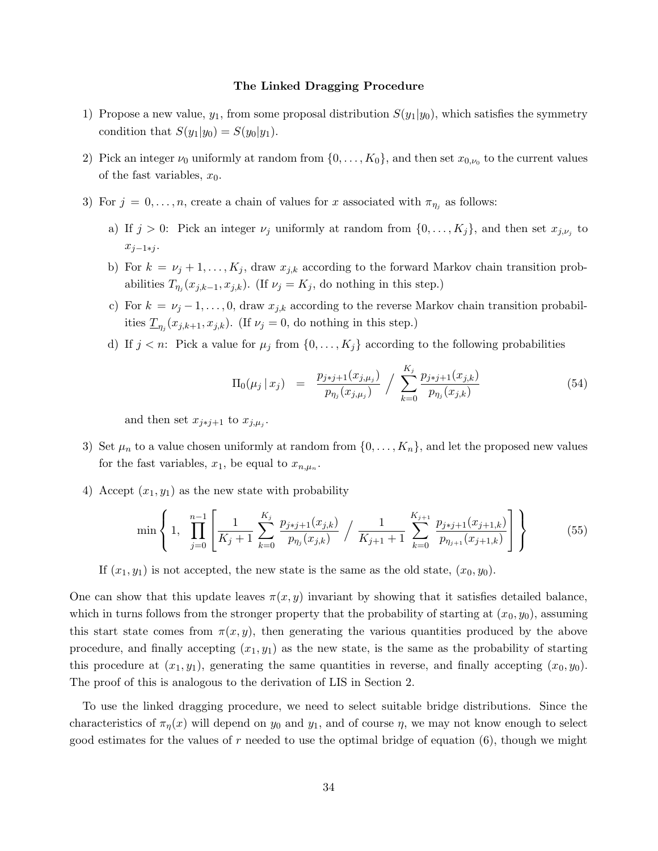#### The Linked Dragging Procedure

- 1) Propose a new value,  $y_1$ , from some proposal distribution  $S(y_1|y_0)$ , which satisfies the symmetry condition that  $S(y_1|y_0) = S(y_0|y_1)$ .
- 2) Pick an integer  $\nu_0$  uniformly at random from  $\{0, \ldots, K_0\}$ , and then set  $x_{0,\nu_0}$  to the current values of the fast variables,  $x_0$ .
- 3) For  $j = 0, \ldots, n$ , create a chain of values for x associated with  $\pi_{\eta_j}$  as follows:
	- a) If  $j > 0$ : Pick an integer  $\nu_j$  uniformly at random from  $\{0, \ldots, K_j\}$ , and then set  $x_{j,\nu_j}$  to  $x_{j-1+j}$ .
	- b) For  $k = \nu_j + 1, \ldots, K_j$ , draw  $x_{j,k}$  according to the forward Markov chain transition probabilities  $T_{\eta_j}(x_{j,k-1}, x_{j,k})$ . (If  $\nu_j = K_j$ , do nothing in this step.)
	- c) For  $k = \nu_j 1, \ldots, 0$ , draw  $x_{j,k}$  according to the reverse Markov chain transition probabilities  $\underline{T}_{\eta_j}(x_{j,k+1},x_{j,k})$ . (If  $\nu_j=0$ , do nothing in this step.)
	- d) If  $j < n$ : Pick a value for  $\mu_j$  from  $\{0, \ldots, K_j\}$  according to the following probabilities

$$
\Pi_0(\mu_j \mid x_j) = \frac{p_{j \ast j+1}(x_{j,\mu_j})}{p_{\eta_j}(x_{j,\mu_j})} / \sum_{k=0}^{K_j} \frac{p_{j \ast j+1}(x_{j,k})}{p_{\eta_j}(x_{j,k})}
$$
(54)

and then set  $x_{j \ast j+1}$  to  $x_{j,\mu_j}$ .

- 3) Set  $\mu_n$  to a value chosen uniformly at random from  $\{0, \ldots, K_n\}$ , and let the proposed new values for the fast variables,  $x_1$ , be equal to  $x_{n,\mu_n}$ .
- 4) Accept  $(x_1, y_1)$  as the new state with probability

$$
\min\left\{1,\prod_{j=0}^{n-1}\left[\frac{1}{K_j+1}\sum_{k=0}^{K_j}\frac{p_{j+j+1}(x_{j,k})}{p_{\eta_j}(x_{j,k})}\biggm| \frac{1}{K_{j+1}+1}\sum_{k=0}^{K_{j+1}}\frac{p_{j+j+1}(x_{j+1,k})}{p_{\eta_{j+1}}(x_{j+1,k})}\right]\right\}
$$
(55)

If  $(x_1, y_1)$  is not accepted, the new state is the same as the old state,  $(x_0, y_0)$ .

One can show that this update leaves  $\pi(x, y)$  invariant by showing that it satisfies detailed balance, which in turns follows from the stronger property that the probability of starting at  $(x_0, y_0)$ , assuming this start state comes from  $\pi(x, y)$ , then generating the various quantities produced by the above procedure, and finally accepting  $(x_1, y_1)$  as the new state, is the same as the probability of starting this procedure at  $(x_1, y_1)$ , generating the same quantities in reverse, and finally accepting  $(x_0, y_0)$ . The proof of this is analogous to the derivation of LIS in Section 2.

To use the linked dragging procedure, we need to select suitable bridge distributions. Since the characteristics of  $\pi_{\eta}(x)$  will depend on  $y_0$  and  $y_1$ , and of course  $\eta$ , we may not know enough to select good estimates for the values of r needed to use the optimal bridge of equation  $(6)$ , though we might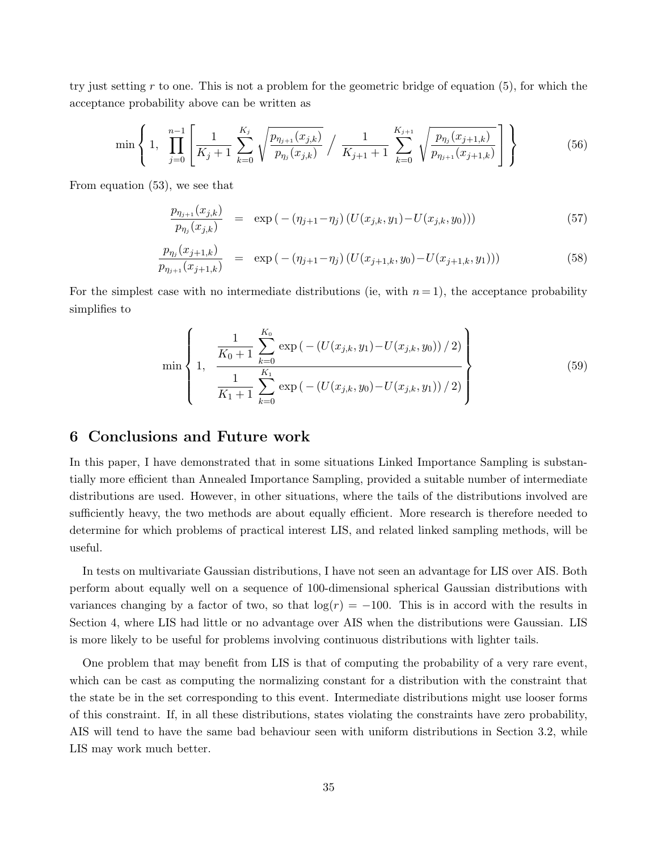try just setting r to one. This is not a problem for the geometric bridge of equation  $(5)$ , for which the acceptance probability above can be written as

$$
\min\left\{1,\prod_{j=0}^{n-1}\left[\frac{1}{K_j+1}\sum_{k=0}^{K_j}\sqrt{\frac{p_{\eta_{j+1}}(x_{j,k})}{p_{\eta_j}(x_{j,k})}}\right/\frac{1}{K_{j+1}+1}\sum_{k=0}^{K_{j+1}}\sqrt{\frac{p_{\eta_j}(x_{j+1,k})}{p_{\eta_{j+1}}(x_{j+1,k})}}\right]\right\}
$$
(56)

From equation (53), we see that

$$
\frac{p_{\eta_{j+1}}(x_{j,k})}{p_{\eta_j}(x_{j,k})} = \exp(-( \eta_{j+1} - \eta_j) \left( U(x_{j,k}, y_1) - U(x_{j,k}, y_0) \right)) \tag{57}
$$

$$
\frac{p_{\eta_j}(x_{j+1,k})}{p_{\eta_{j+1}}(x_{j+1,k})} = \exp(-( \eta_{j+1} - \eta_j) \left( U(x_{j+1,k}, y_0) - U(x_{j+1,k}, y_1) \right)) \tag{58}
$$

For the simplest case with no intermediate distributions (ie, with  $n = 1$ ), the acceptance probability simplifies to

$$
\min\left\{1, \frac{\frac{1}{K_0+1}\sum_{k=0}^{K_0}\exp(-(U(x_{j,k}, y_1)-U(x_{j,k}, y_0))/2)}{\frac{1}{K_1+1}\sum_{k=0}^{K_1}\exp(-(U(x_{j,k}, y_0)-U(x_{j,k}, y_1))/2)}\right\}
$$
(59)

## 6 Conclusions and Future work

In this paper, I have demonstrated that in some situations Linked Importance Sampling is substantially more efficient than Annealed Importance Sampling, provided a suitable number of intermediate distributions are used. However, in other situations, where the tails of the distributions involved are sufficiently heavy, the two methods are about equally efficient. More research is therefore needed to determine for which problems of practical interest LIS, and related linked sampling methods, will be useful.

In tests on multivariate Gaussian distributions, I have not seen an advantage for LIS over AIS. Both perform about equally well on a sequence of 100-dimensional spherical Gaussian distributions with variances changing by a factor of two, so that  $log(r) = -100$ . This is in accord with the results in Section 4, where LIS had little or no advantage over AIS when the distributions were Gaussian. LIS is more likely to be useful for problems involving continuous distributions with lighter tails.

One problem that may benefit from LIS is that of computing the probability of a very rare event, which can be cast as computing the normalizing constant for a distribution with the constraint that the state be in the set corresponding to this event. Intermediate distributions might use looser forms of this constraint. If, in all these distributions, states violating the constraints have zero probability, AIS will tend to have the same bad behaviour seen with uniform distributions in Section 3.2, while LIS may work much better.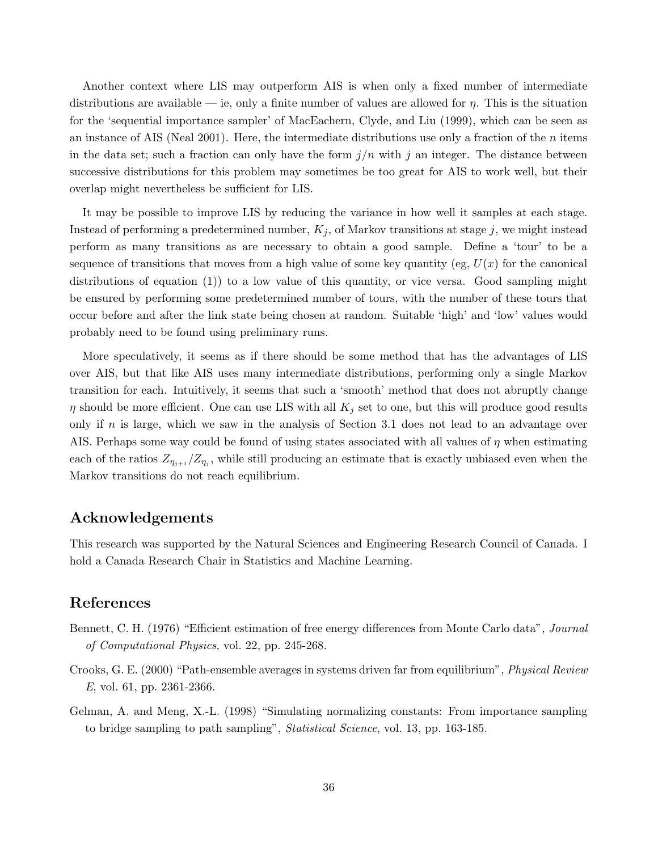Another context where LIS may outperform AIS is when only a fixed number of intermediate distributions are available — ie, only a finite number of values are allowed for  $\eta$ . This is the situation for the 'sequential importance sampler' of MacEachern, Clyde, and Liu (1999), which can be seen as an instance of AIS (Neal 2001). Here, the intermediate distributions use only a fraction of the  $n$  items in the data set; such a fraction can only have the form  $j/n$  with j an integer. The distance between successive distributions for this problem may sometimes be too great for AIS to work well, but their overlap might nevertheless be sufficient for LIS.

It may be possible to improve LIS by reducing the variance in how well it samples at each stage. Instead of performing a predetermined number,  $K_j$ , of Markov transitions at stage j, we might instead perform as many transitions as are necessary to obtain a good sample. Define a 'tour' to be a sequence of transitions that moves from a high value of some key quantity (eg,  $U(x)$  for the canonical distributions of equation (1)) to a low value of this quantity, or vice versa. Good sampling might be ensured by performing some predetermined number of tours, with the number of these tours that occur before and after the link state being chosen at random. Suitable 'high' and 'low' values would probably need to be found using preliminary runs.

More speculatively, it seems as if there should be some method that has the advantages of LIS over AIS, but that like AIS uses many intermediate distributions, performing only a single Markov transition for each. Intuitively, it seems that such a 'smooth' method that does not abruptly change  $\eta$  should be more efficient. One can use LIS with all  $K_j$  set to one, but this will produce good results only if n is large, which we saw in the analysis of Section 3.1 does not lead to an advantage over AIS. Perhaps some way could be found of using states associated with all values of  $\eta$  when estimating each of the ratios  $Z_{\eta_{j+1}}/Z_{\eta_j}$ , while still producing an estimate that is exactly unbiased even when the Markov transitions do not reach equilibrium.

### Acknowledgements

This research was supported by the Natural Sciences and Engineering Research Council of Canada. I hold a Canada Research Chair in Statistics and Machine Learning.

# References

- Bennett, C. H. (1976) "Efficient estimation of free energy differences from Monte Carlo data", *Journal* of Computational Physics, vol. 22, pp. 245-268.
- Crooks, G. E. (2000) "Path-ensemble averages in systems driven far from equilibrium", Physical Review E, vol. 61, pp. 2361-2366.
- Gelman, A. and Meng, X.-L. (1998) "Simulating normalizing constants: From importance sampling to bridge sampling to path sampling", Statistical Science, vol. 13, pp. 163-185.